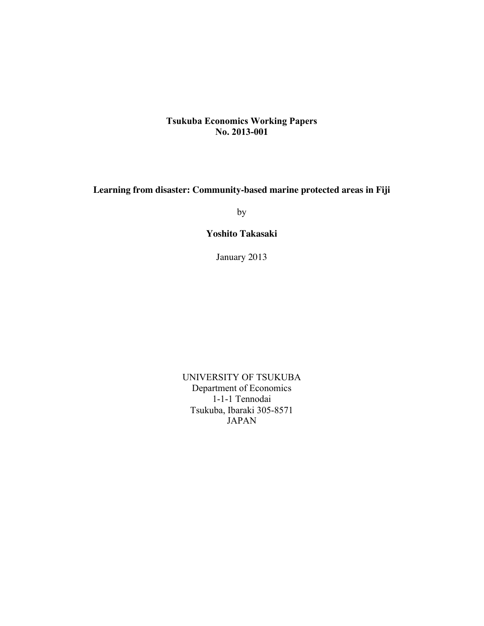## **Tsukuba Economics Working Papers No. 2013-001**

**Learning from disaster: Community-based marine protected areas in Fiji** 

by

**Yoshito Takasaki**

January 2013

UNIVERSITY OF TSUKUBA Department of Economics 1-1-1 Tennodai Tsukuba, Ibaraki 305-8571 JAPAN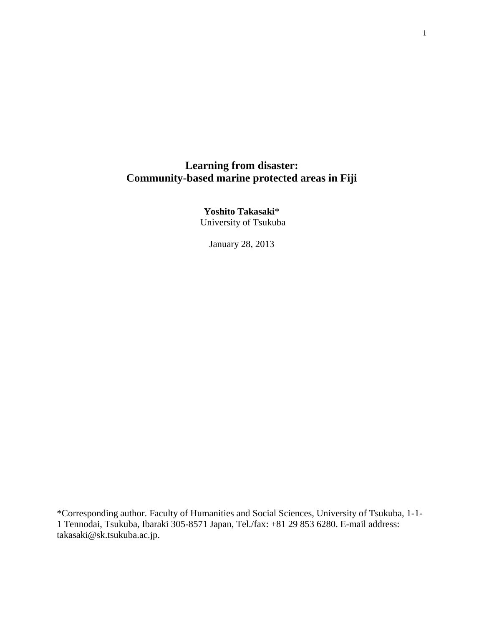# **Learning from disaster: Community-based marine protected areas in Fiji**

**Yoshito Takasaki**\* University of Tsukuba

January 28, 2013

<span id="page-1-0"></span>\*Corresponding author. Faculty of Humanities and Social Sciences, University of Tsukuba, 1-1- 1 Tennodai, Tsukuba, Ibaraki 305-8571 Japan, Tel./fax: +81 29 853 6280. E-mail address: takasaki@sk.tsukuba.ac.jp.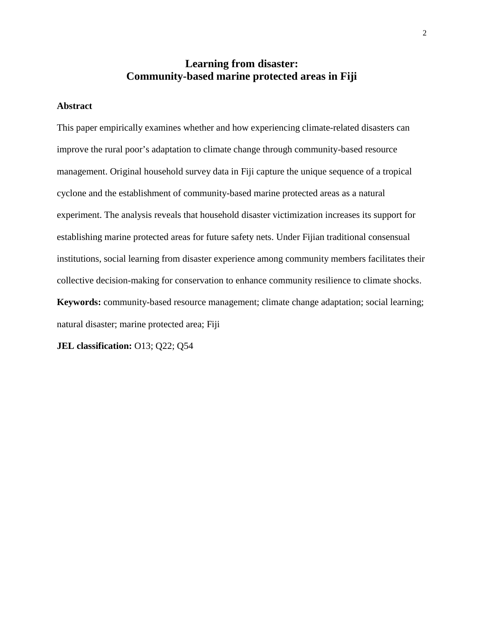# **Learning from disaster: Community-based marine protected areas in Fiji**

## **Abstract**

This paper empirically examines whether and how experiencing climate-related disasters can improve the rural poor's adaptation to climate change through community-based resource management. Original household survey data in Fiji capture the unique sequence of a tropical cyclone and the establishment of community-based marine protected areas as a natural experiment. The analysis reveals that household disaster victimization increases its support for establishing marine protected areas for future safety nets. Under Fijian traditional consensual institutions, social learning from disaster experience among community members facilitates their collective decision-making for conservation to enhance community resilience to climate shocks. **Keywords:** community-based resource management; climate change adaptation; social learning; natural disaster; marine protected area; Fiji

**JEL classification:** O13; Q22; Q54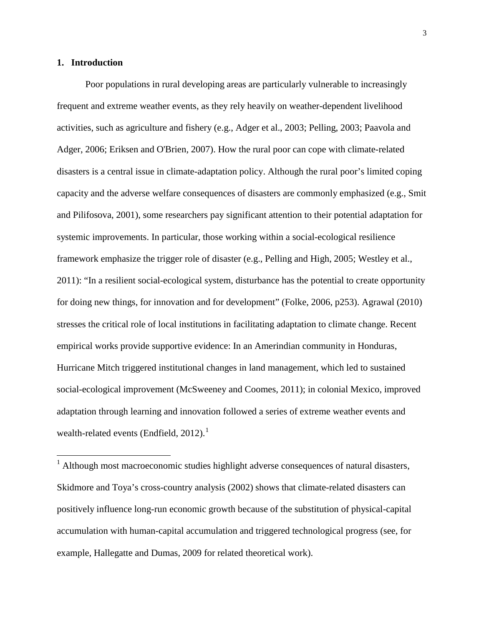#### **1. Introduction**

Poor populations in rural developing areas are particularly vulnerable to increasingly frequent and extreme weather events, as they rely heavily on weather-dependent livelihood activities, such as agriculture and fishery (e.g., [Adger et al., 2003;](#page-25-0) [Pelling, 2003;](#page-29-0) [Paavola and](#page-28-0)  [Adger, 2006;](#page-28-0) [Eriksen and O'Brien, 2007\)](#page-26-0). How the rural poor can cope with climate-related disasters is a central issue in climate-adaptation policy. Although the rural poor's limited coping capacity and the adverse welfare consequences of disasters are commonly emphasized [\(e.g., Smit](#page-30-0)  [and Pilifosova, 2001\)](#page-30-0), some researchers pay significant attention to their potential adaptation for systemic improvements. In particular, those working within a social-ecological resilience framework emphasize the trigger role of disaster (e.g., [Pelling and High, 2005;](#page-29-1) [Westley et al.,](#page-31-0)  [2011\)](#page-31-0): "In a resilient social-ecological system, disturbance has the potential to create opportunity for doing new things, for innovation and for development" [\(Folke, 2006, p253\)](#page-27-0). Agrawal [\(2010\)](#page-25-1) stresses the critical role of local institutions in facilitating adaptation to climate change. Recent empirical works provide supportive evidence: In an Amerindian community in Honduras, Hurricane Mitch triggered institutional changes in land management, which led to sustained social-ecological improvement [\(McSweeney and Coomes, 2011\)](#page-28-1); in colonial Mexico, improved adaptation through learning and innovation followed a series of extreme weather events and wealth-related events [\(Endfield, 2012\)](#page-26-1).<sup>[1](#page-1-0)</sup>

<span id="page-3-0"></span><sup>&</sup>lt;sup>1</sup> Although most macroeconomic studies highlight adverse consequences of natural disasters, Skidmore and Toya's cross-country analysis [\(2002\)](#page-30-1) shows that climate-related disasters can positively influence long-run economic growth because of the substitution of physical-capital accumulation with human-capital accumulation and triggered technological progress [\(see, for](#page-27-1)  [example, Hallegatte and Dumas, 2009 for related theoretical work\)](#page-27-1).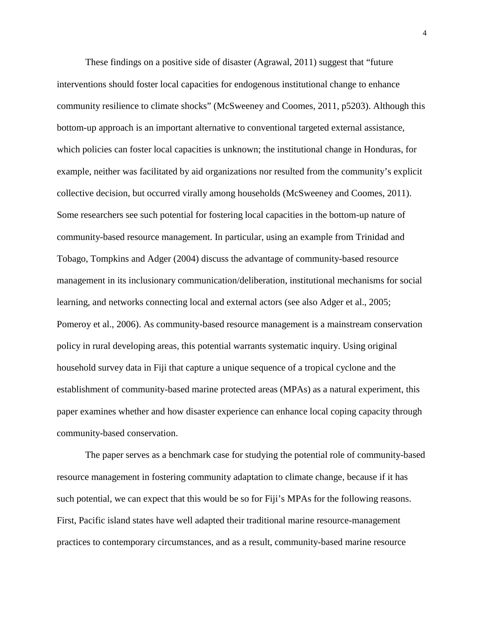These findings on a positive side of disaster [\(Agrawal, 2011\)](#page-25-2) suggest that "future interventions should foster local capacities for endogenous institutional change to enhance community resilience to climate shocks" [\(McSweeney and Coomes, 2011, p5203\)](#page-28-1). Although this bottom-up approach is an important alternative to conventional targeted external assistance, which policies can foster local capacities is unknown; the institutional change in Honduras, for example, neither was facilitated by aid organizations nor resulted from the community's explicit collective decision, but occurred virally among households [\(McSweeney and Coomes, 2011\)](#page-28-1). Some researchers see such potential for fostering local capacities in the bottom-up nature of community-based resource management. In particular, using an example from Trinidad and Tobago, Tompkins and Adger [\(2004\)](#page-30-2) discuss the advantage of community-based resource management in its inclusionary communication/deliberation, institutional mechanisms for social learning, and networks connecting local and external actors (see also [Adger et al., 2005;](#page-25-3) [Pomeroy et al., 2006\)](#page-29-2). As community-based resource management is a mainstream conservation policy in rural developing areas, this potential warrants systematic inquiry. Using original household survey data in Fiji that capture a unique sequence of a tropical cyclone and the establishment of community-based marine protected areas (MPAs) as a natural experiment, this paper examines whether and how disaster experience can enhance local coping capacity through community-based conservation.

The paper serves as a benchmark case for studying the potential role of community-based resource management in fostering community adaptation to climate change, because if it has such potential, we can expect that this would be so for Fiji's MPAs for the following reasons. First, Pacific island states have well adapted their traditional marine resource-management practices to contemporary circumstances, and as a result, community-based marine resource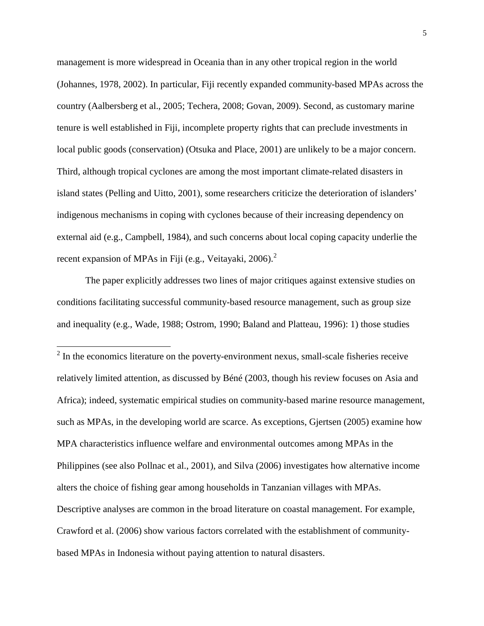management is more widespread in Oceania than in any other tropical region in the world [\(Johannes, 1978,](#page-27-2) [2002\)](#page-27-3). In particular, Fiji recently expanded community-based MPAs across the country [\(Aalbersberg et al., 2005;](#page-25-4) [Techera, 2008;](#page-30-3) [Govan, 2009\)](#page-27-4). Second, as customary marine tenure is well established in Fiji, incomplete property rights that can preclude investments in local public goods (conservation) [\(Otsuka and Place, 2001\)](#page-28-2) are unlikely to be a major concern. Third, although tropical cyclones are among the most important climate-related disasters in island states [\(Pelling and Uitto, 2001\)](#page-29-3), some researchers criticize the deterioration of islanders' indigenous mechanisms in coping with cyclones because of their increasing dependency on external aid [\(e.g., Campbell, 1984\)](#page-26-2), and such concerns about local coping capacity underlie the recent expansion of MPAs in Fiji [\(e.g., Veitayaki, 2006\)](#page-31-1).<sup>[2](#page-3-0)</sup>

<span id="page-5-0"></span>The paper explicitly addresses two lines of major critiques against extensive studies on conditions facilitating successful community-based resource management, such as group size and inequality (e.g., [Wade, 1988;](#page-31-2) [Ostrom, 1990;](#page-28-3) [Baland and Platteau, 1996\)](#page-26-3): 1) those studies

 $2$  In the economics literature on the poverty-environment nexus, small-scale fisheries receive relatively limited attention, as discussed by Béné [\(2003, though his review focuses on Asia and](#page-26-4)  [Africa\)](#page-26-4); indeed, systematic empirical studies on community-based marine resource management, such as MPAs, in the developing world are scarce. As exceptions, Gjertsen [\(2005\)](#page-27-5) examine how MPA characteristics influence welfare and environmental outcomes among MPAs in the Philippines [\(see also Pollnac et al., 2001\)](#page-29-4), and Silva [\(2006\)](#page-29-5) investigates how alternative income alters the choice of fishing gear among households in Tanzanian villages with MPAs. Descriptive analyses are common in the broad literature on coastal management. For example, Crawford et al. [\(2006\)](#page-26-5) show various factors correlated with the establishment of communitybased MPAs in Indonesia without paying attention to natural disasters.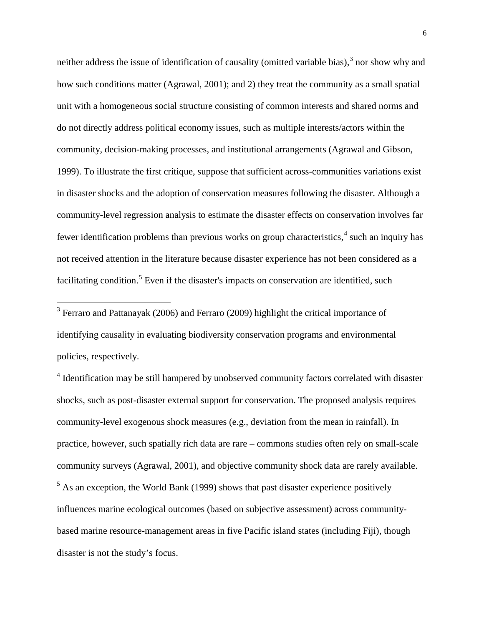neither address the issue of identification of causality (omitted variable bias),<sup>[3](#page-5-0)</sup> nor show why and how such conditions matter [\(Agrawal, 2001\)](#page-25-5); and 2) they treat the community as a small spatial unit with a homogeneous social structure consisting of common interests and shared norms and do not directly address political economy issues, such as multiple interests/actors within the community, decision-making processes, and institutional arrangements [\(Agrawal and Gibson,](#page-26-6)  [1999\)](#page-26-6). To illustrate the first critique, suppose that sufficient across-communities variations exist in disaster shocks and the adoption of conservation measures following the disaster. Although a community-level regression analysis to estimate the disaster effects on conservation involves far fewer identification problems than previous works on group characteristics,<sup>[4](#page-6-0)</sup> such an inquiry has not received attention in the literature because disaster experience has not been considered as a facilitating condition.<sup>[5](#page-6-1)</sup> Even if the disaster's impacts on conservation are identified, such

<sup>3</sup> Ferraro and Pattanayak [\(2006\)](#page-27-6) and Ferraro [\(2009\)](#page-27-7) highlight the critical importance of identifying causality in evaluating biodiversity conservation programs and environmental policies, respectively.

<span id="page-6-2"></span><span id="page-6-1"></span><span id="page-6-0"></span><sup>4</sup> Identification may be still hampered by unobserved community factors correlated with disaster shocks, such as post-disaster external support for conservation. The proposed analysis requires community-level exogenous shock measures (e.g., deviation from the mean in rainfall). In practice, however, such spatially rich data are rare – commons studies often rely on small-scale community surveys [\(Agrawal, 2001\)](#page-25-5), and objective community shock data are rarely available.  $<sup>5</sup>$  As an exception, the World Bank [\(1999\)](#page-31-3) shows that past disaster experience positively</sup> influences marine ecological outcomes (based on subjective assessment) across communitybased marine resource-management areas in five Pacific island states (including Fiji), though disaster is not the study's focus.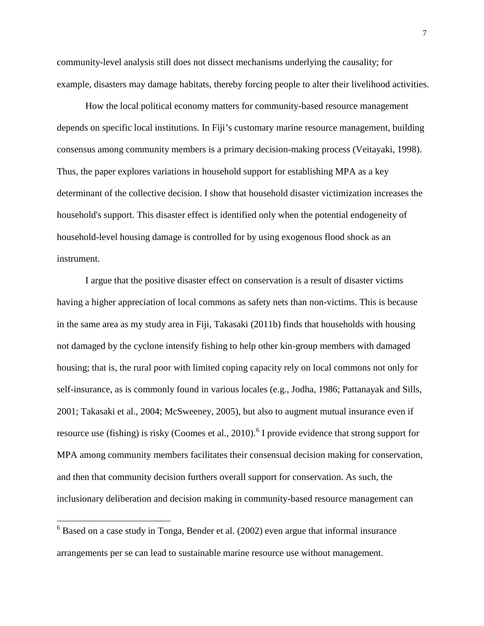community-level analysis still does not dissect mechanisms underlying the causality; for example, disasters may damage habitats, thereby forcing people to alter their livelihood activities.

How the local political economy matters for community-based resource management depends on specific local institutions. In Fiji's customary marine resource management, building consensus among community members is a primary decision-making process [\(Veitayaki, 1998\)](#page-30-4). Thus, the paper explores variations in household support for establishing MPA as a key determinant of the collective decision. I show that household disaster victimization increases the household's support. This disaster effect is identified only when the potential endogeneity of household-level housing damage is controlled for by using exogenous flood shock as an instrument.

I argue that the positive disaster effect on conservation is a result of disaster victims having a higher appreciation of local commons as safety nets than non-victims. This is because in the same area as my study area in Fiji, Takasaki [\(2011b\)](#page-30-5) finds that households with housing not damaged by the cyclone intensify fishing to help other kin-group members with damaged housing; that is, the rural poor with limited coping capacity rely on local commons not only for self-insurance, as is commonly found in various locales (e.g., [Jodha, 1986;](#page-27-8) [Pattanayak and Sills,](#page-29-6)  [2001;](#page-29-6) [Takasaki et al., 2004;](#page-30-6) [McSweeney, 2005\)](#page-28-4), but also to augment mutual insurance even if resource use (fishing) is risky [\(Coomes et al., 2010\)](#page-26-7).<sup>[6](#page-6-2)</sup> I provide evidence that strong support for MPA among community members facilitates their consensual decision making for conservation, and then that community decision furthers overall support for conservation. As such, the inclusionary deliberation and decision making in community-based resource management can

<span id="page-7-0"></span> $6$  Based on a case study in Tonga, Bender et al. [\(2002\)](#page-26-8) even argue that informal insurance arrangements per se can lead to sustainable marine resource use without management.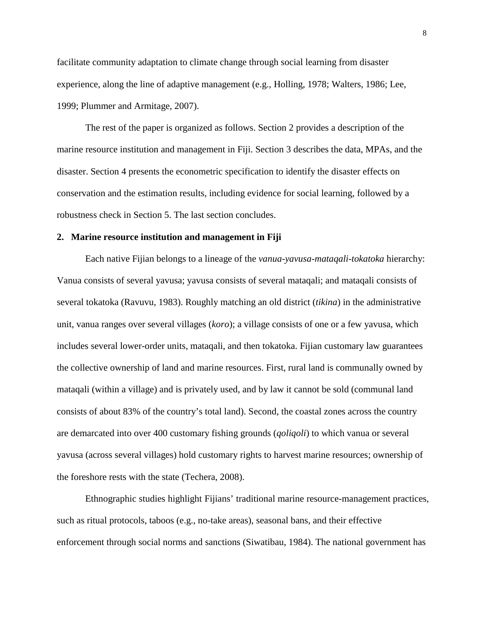facilitate community adaptation to climate change through social learning from disaster experience, along the line of adaptive management (e.g., [Holling, 1978;](#page-27-9) [Walters, 1986;](#page-31-4) [Lee,](#page-28-5)  [1999;](#page-28-5) [Plummer and Armitage, 2007\)](#page-29-7).

The rest of the paper is organized as follows. Section 2 provides a description of the marine resource institution and management in Fiji. Section 3 describes the data, MPAs, and the disaster. Section 4 presents the econometric specification to identify the disaster effects on conservation and the estimation results, including evidence for social learning, followed by a robustness check in Section 5. The last section concludes.

#### **2. Marine resource institution and management in Fiji**

Each native Fijian belongs to a lineage of the *vanua*-*yavusa*-*mataqali*-*tokatoka* hierarchy: Vanua consists of several yavusa; yavusa consists of several mataqali; and mataqali consists of several tokatoka [\(Ravuvu, 1983\)](#page-29-8). Roughly matching an old district (*tikina*) in the administrative unit, vanua ranges over several villages (*koro*); a village consists of one or a few yavusa, which includes several lower-order units, mataqali, and then tokatoka. Fijian customary law guarantees the collective ownership of land and marine resources. First, rural land is communally owned by mataqali (within a village) and is privately used, and by law it cannot be sold (communal land consists of about 83% of the country's total land). Second, the coastal zones across the country are demarcated into over 400 customary fishing grounds (*qoliqoli*) to which vanua or several yavusa (across several villages) hold customary rights to harvest marine resources; ownership of the foreshore rests with the state [\(Techera, 2008\)](#page-30-3).

Ethnographic studies highlight Fijians' traditional marine resource-management practices, such as ritual protocols, taboos (e.g., no-take areas), seasonal bans, and their effective enforcement through social norms and sanctions [\(Siwatibau, 1984\)](#page-29-9). The national government has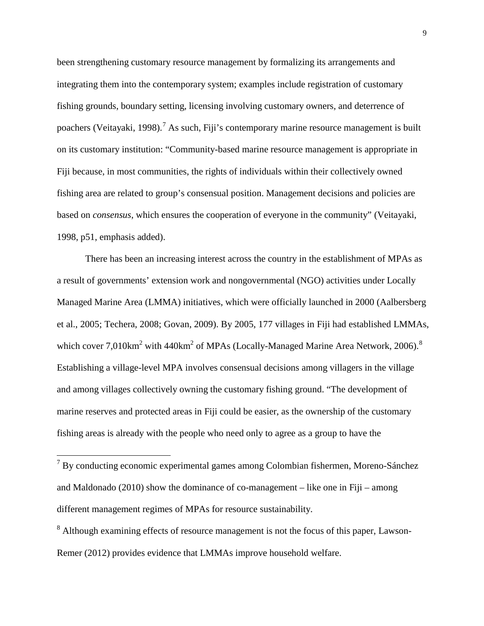been strengthening customary resource management by formalizing its arrangements and integrating them into the contemporary system; examples include registration of customary fishing grounds, boundary setting, licensing involving customary owners, and deterrence of poachers [\(Veitayaki, 1998\)](#page-30-4).<sup>[7](#page-7-0)</sup> As such, Fiji's contemporary marine resource management is built on its customary institution: "Community-based marine resource management is appropriate in Fiji because, in most communities, the rights of individuals within their collectively owned fishing area are related to group's consensual position. Management decisions and policies are based on *consensus*, which ensures the cooperation of everyone in the community" [\(Veitayaki,](#page-30-4)  [1998, p51, emphasis added\)](#page-30-4).

There has been an increasing interest across the country in the establishment of MPAs as a result of governments' extension work and nongovernmental (NGO) activities under Locally Managed Marine Area (LMMA) initiatives, which were officially launched in 2000 [\(Aalbersberg](#page-25-4)  [et al., 2005;](#page-25-4) [Techera, 2008;](#page-30-3) [Govan, 2009\)](#page-27-4). By 2005, 177 villages in Fiji had established LMMAs, which cover  $7{,}010\text{km}^2$  with  $440\text{km}^2$  of MPAs [\(Locally-Managed Marine Area Network, 2006\)](#page-28-6).<sup>[8](#page-9-0)</sup> Establishing a village-level MPA involves consensual decisions among villagers in the village and among villages collectively owning the customary fishing ground. "The development of marine reserves and protected areas in Fiji could be easier, as the ownership of the customary fishing areas is already with the people who need only to agree as a group to have the

<span id="page-9-1"></span> <sup>7</sup> By conducting economic experimental games among Colombian fishermen, Moreno-Sánchez and Maldonado [\(2010\)](#page-28-7) show the dominance of co-management – like one in Fiji – among different management regimes of MPAs for resource sustainability.

<span id="page-9-0"></span><sup>&</sup>lt;sup>8</sup> Although examining effects of resource management is not the focus of this paper, Lawson-Remer [\(2012\)](#page-27-10) provides evidence that LMMAs improve household welfare.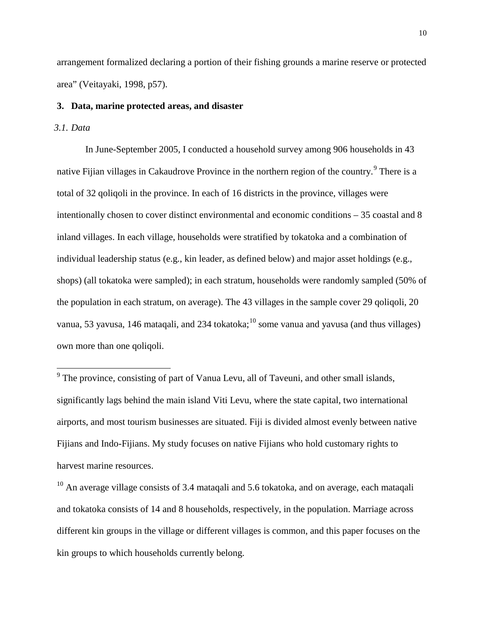arrangement formalized declaring a portion of their fishing grounds a marine reserve or protected area" [\(Veitayaki, 1998, p57\)](#page-30-4).

## **3. Data, marine protected areas, and disaster**

## *3.1. Data*

In June-September 2005, I conducted a household survey among 906 households in 43 native Fijian villages in Cakaudrove Province in the northern region of the country.<sup>[9](#page-9-1)</sup> There is a total of 32 qoliqoli in the province. In each of 16 districts in the province, villages were intentionally chosen to cover distinct environmental and economic conditions – 35 coastal and 8 inland villages. In each village, households were stratified by tokatoka and a combination of individual leadership status (e.g., kin leader, as defined below) and major asset holdings (e.g., shops) (all tokatoka were sampled); in each stratum, households were randomly sampled (50% of the population in each stratum, on average). The 43 villages in the sample cover 29 qoliqoli, 20 vanua, 53 yavusa, 146 mataqali, and 234 tokatoka;<sup>[10](#page-10-0)</sup> some vanua and yavusa (and thus villages) own more than one qoliqoli.

<sup>&</sup>lt;sup>9</sup> The province, consisting of part of Vanua Levu, all of Taveuni, and other small islands, significantly lags behind the main island Viti Levu, where the state capital, two international airports, and most tourism businesses are situated. Fiji is divided almost evenly between native Fijians and Indo-Fijians. My study focuses on native Fijians who hold customary rights to harvest marine resources.

<span id="page-10-1"></span><span id="page-10-0"></span> $10$  An average village consists of 3.4 matagali and 5.6 tokatoka, and on average, each matagali and tokatoka consists of 14 and 8 households, respectively, in the population. Marriage across different kin groups in the village or different villages is common, and this paper focuses on the kin groups to which households currently belong.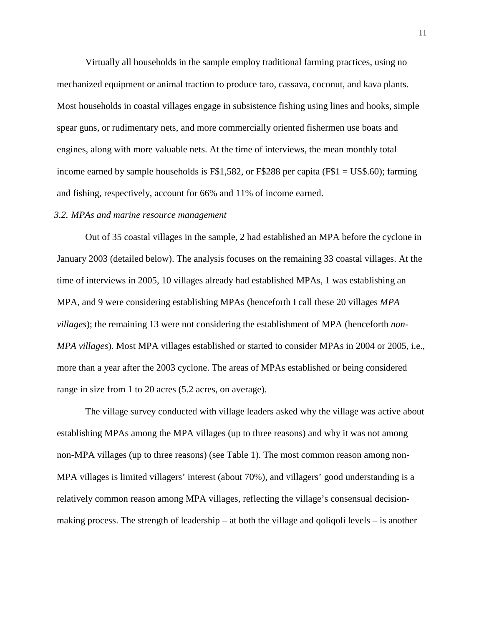Virtually all households in the sample employ traditional farming practices, using no mechanized equipment or animal traction to produce taro, cassava, coconut, and kava plants. Most households in coastal villages engage in subsistence fishing using lines and hooks, simple spear guns, or rudimentary nets, and more commercially oriented fishermen use boats and engines, along with more valuable nets. At the time of interviews, the mean monthly total income earned by sample households is  $F$1,582$ , or  $F$288$  per capita ( $F$1 = US$.60$ ); farming and fishing, respectively, account for 66% and 11% of income earned.

#### *3.2. MPAs and marine resource management*

Out of 35 coastal villages in the sample, 2 had established an MPA before the cyclone in January 2003 (detailed below). The analysis focuses on the remaining 33 coastal villages. At the time of interviews in 2005, 10 villages already had established MPAs, 1 was establishing an MPA, and 9 were considering establishing MPAs (henceforth I call these 20 villages *MPA villages*); the remaining 13 were not considering the establishment of MPA (henceforth *non-MPA villages*). Most MPA villages established or started to consider MPAs in 2004 or 2005, i.e., more than a year after the 2003 cyclone. The areas of MPAs established or being considered range in size from 1 to 20 acres (5.2 acres, on average).

The village survey conducted with village leaders asked why the village was active about establishing MPAs among the MPA villages (up to three reasons) and why it was not among non-MPA villages (up to three reasons) (see Table 1). The most common reason among non-MPA villages is limited villagers' interest (about 70%), and villagers' good understanding is a relatively common reason among MPA villages, reflecting the village's consensual decisionmaking process. The strength of leadership – at both the village and qoliqoli levels – is another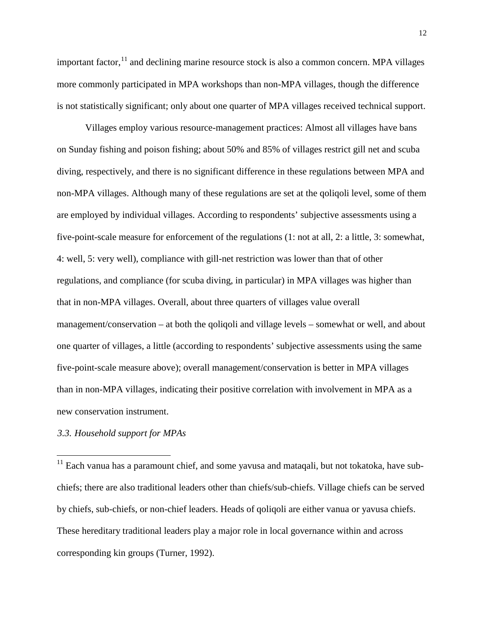important factor, <sup>[11](#page-10-1)</sup> and declining marine resource stock is also a common concern. MPA villages more commonly participated in MPA workshops than non-MPA villages, though the difference is not statistically significant; only about one quarter of MPA villages received technical support.

Villages employ various resource-management practices: Almost all villages have bans on Sunday fishing and poison fishing; about 50% and 85% of villages restrict gill net and scuba diving, respectively, and there is no significant difference in these regulations between MPA and non-MPA villages. Although many of these regulations are set at the qoliqoli level, some of them are employed by individual villages. According to respondents' subjective assessments using a five-point-scale measure for enforcement of the regulations (1: not at all, 2: a little, 3: somewhat, 4: well, 5: very well), compliance with gill-net restriction was lower than that of other regulations, and compliance (for scuba diving, in particular) in MPA villages was higher than that in non-MPA villages. Overall, about three quarters of villages value overall management/conservation – at both the qoliqoli and village levels – somewhat or well, and about one quarter of villages, a little (according to respondents' subjective assessments using the same five-point-scale measure above); overall management/conservation is better in MPA villages than in non-MPA villages, indicating their positive correlation with involvement in MPA as a new conservation instrument.

## *3.3. Household support for MPAs*

<span id="page-12-0"></span><sup>11</sup> Each vanua has a paramount chief, and some yavusa and mataqali, but not tokatoka, have subchiefs; there are also traditional leaders other than chiefs/sub-chiefs. Village chiefs can be served by chiefs, sub-chiefs, or non-chief leaders. Heads of qoliqoli are either vanua or yavusa chiefs. These hereditary traditional leaders play a major role in local governance within and across corresponding kin groups [\(Turner, 1992\)](#page-30-7).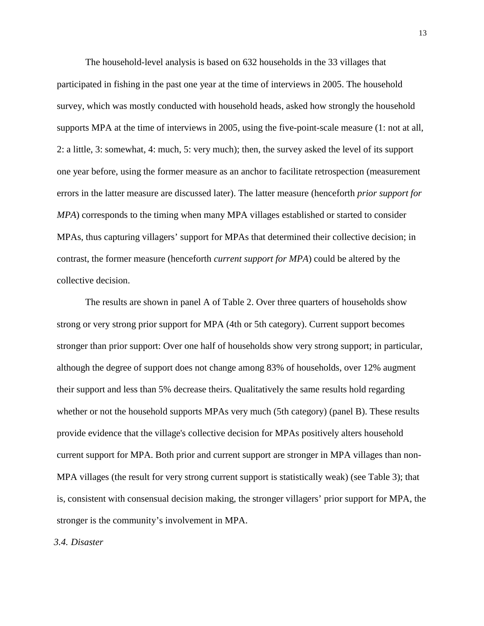The household-level analysis is based on 632 households in the 33 villages that participated in fishing in the past one year at the time of interviews in 2005. The household survey, which was mostly conducted with household heads, asked how strongly the household supports MPA at the time of interviews in 2005, using the five-point-scale measure (1: not at all, 2: a little, 3: somewhat, 4: much, 5: very much); then, the survey asked the level of its support one year before, using the former measure as an anchor to facilitate retrospection (measurement errors in the latter measure are discussed later). The latter measure (henceforth *prior support for MPA*) corresponds to the timing when many MPA villages established or started to consider MPAs, thus capturing villagers' support for MPAs that determined their collective decision; in contrast, the former measure (henceforth *current support for MPA*) could be altered by the collective decision.

The results are shown in panel A of Table 2. Over three quarters of households show strong or very strong prior support for MPA (4th or 5th category). Current support becomes stronger than prior support: Over one half of households show very strong support; in particular, although the degree of support does not change among 83% of households, over 12% augment their support and less than 5% decrease theirs. Qualitatively the same results hold regarding whether or not the household supports MPAs very much (5th category) (panel B). These results provide evidence that the village's collective decision for MPAs positively alters household current support for MPA. Both prior and current support are stronger in MPA villages than non-MPA villages (the result for very strong current support is statistically weak) (see Table 3); that is, consistent with consensual decision making, the stronger villagers' prior support for MPA, the stronger is the community's involvement in MPA.

*3.4. Disaster*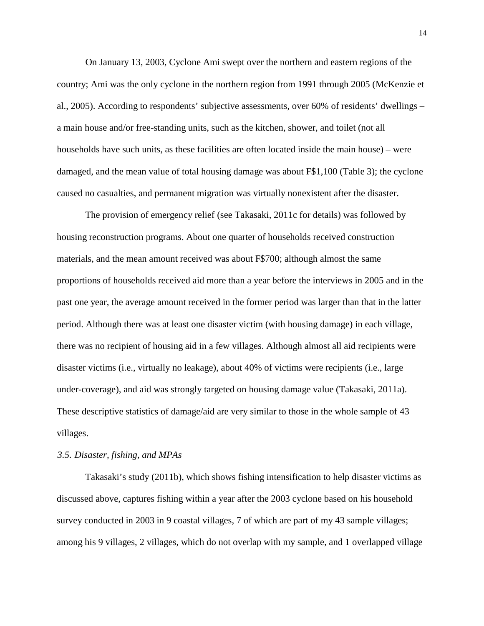On January 13, 2003, Cyclone Ami swept over the northern and eastern regions of the country; Ami was the only cyclone in the northern region from 1991 through 2005 [\(McKenzie et](#page-28-8)  [al., 2005\)](#page-28-8). According to respondents' subjective assessments, over 60% of residents' dwellings – a main house and/or free-standing units, such as the kitchen, shower, and toilet (not all households have such units, as these facilities are often located inside the main house) – were damaged, and the mean value of total housing damage was about F\$1,100 (Table 3); the cyclone caused no casualties, and permanent migration was virtually nonexistent after the disaster.

The provision of emergency relief [\(see Takasaki, 2011c for details\)](#page-30-8) was followed by housing reconstruction programs. About one quarter of households received construction materials, and the mean amount received was about F\$700; although almost the same proportions of households received aid more than a year before the interviews in 2005 and in the past one year, the average amount received in the former period was larger than that in the latter period. Although there was at least one disaster victim (with housing damage) in each village, there was no recipient of housing aid in a few villages. Although almost all aid recipients were disaster victims (i.e., virtually no leakage), about 40% of victims were recipients (i.e., large under-coverage), and aid was strongly targeted on housing damage value [\(Takasaki, 2011a\)](#page-30-9). These descriptive statistics of damage/aid are very similar to those in the whole sample of 43 villages.

#### *3.5. Disaster, fishing, and MPAs*

Takasaki's study [\(2011b\)](#page-30-5), which shows fishing intensification to help disaster victims as discussed above, captures fishing within a year after the 2003 cyclone based on his household survey conducted in 2003 in 9 coastal villages, 7 of which are part of my 43 sample villages; among his 9 villages, 2 villages, which do not overlap with my sample, and 1 overlapped village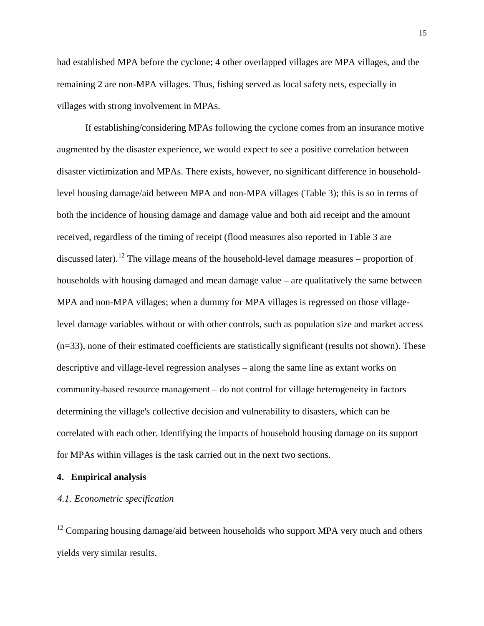had established MPA before the cyclone; 4 other overlapped villages are MPA villages, and the remaining 2 are non-MPA villages. Thus, fishing served as local safety nets, especially in villages with strong involvement in MPAs.

If establishing/considering MPAs following the cyclone comes from an insurance motive augmented by the disaster experience, we would expect to see a positive correlation between disaster victimization and MPAs. There exists, however, no significant difference in householdlevel housing damage/aid between MPA and non-MPA villages (Table 3); this is so in terms of both the incidence of housing damage and damage value and both aid receipt and the amount received, regardless of the timing of receipt (flood measures also reported in Table 3 are discussed later).<sup>[12](#page-12-0)</sup> The village means of the household-level damage measures – proportion of households with housing damaged and mean damage value – are qualitatively the same between MPA and non-MPA villages; when a dummy for MPA villages is regressed on those villagelevel damage variables without or with other controls, such as population size and market access  $(n=33)$ , none of their estimated coefficients are statistically significant (results not shown). These descriptive and village-level regression analyses – along the same line as extant works on community-based resource management – do not control for village heterogeneity in factors determining the village's collective decision and vulnerability to disasters, which can be correlated with each other. Identifying the impacts of household housing damage on its support for MPAs within villages is the task carried out in the next two sections.

#### <span id="page-15-0"></span>**4. Empirical analysis**

#### *4.1. Econometric specification*

 $12$  Comparing housing damage/aid between households who support MPA very much and others yields very similar results.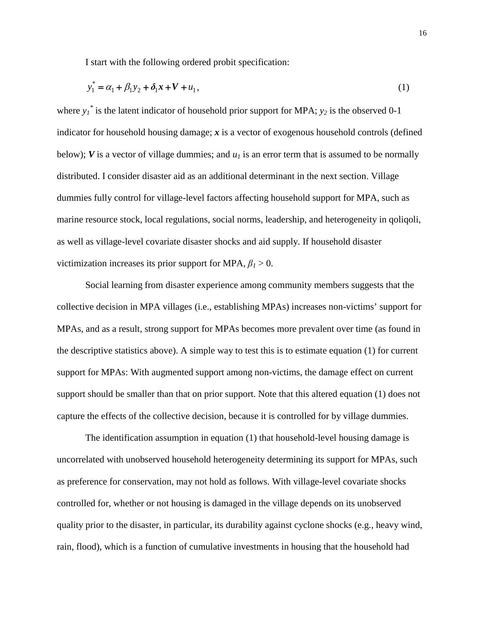I start with the following ordered probit specification:

$$
y_1^* = \alpha_1 + \beta_1 y_2 + \delta_1 x + V + u_1,
$$
\n(1)

where  $y_1^*$  is the latent indicator of household prior support for MPA;  $y_2$  is the observed 0-1 indicator for household housing damage; *x* is a vector of exogenous household controls (defined below);  $V$  is a vector of village dummies; and  $u_1$  is an error term that is assumed to be normally distributed. I consider disaster aid as an additional determinant in the next section. Village dummies fully control for village-level factors affecting household support for MPA, such as marine resource stock, local regulations, social norms, leadership, and heterogeneity in qoliqoli, as well as village-level covariate disaster shocks and aid supply. If household disaster victimization increases its prior support for MPA,  $\beta_1 > 0$ .

Social learning from disaster experience among community members suggests that the collective decision in MPA villages (i.e., establishing MPAs) increases non-victims' support for MPAs, and as a result, strong support for MPAs becomes more prevalent over time (as found in the descriptive statistics above). A simple way to test this is to estimate equation (1) for current support for MPAs: With augmented support among non-victims, the damage effect on current support should be smaller than that on prior support. Note that this altered equation (1) does not capture the effects of the collective decision, because it is controlled for by village dummies.

The identification assumption in equation (1) that household-level housing damage is uncorrelated with unobserved household heterogeneity determining its support for MPAs, such as preference for conservation, may not hold as follows. With village-level covariate shocks controlled for, whether or not housing is damaged in the village depends on its unobserved quality prior to the disaster, in particular, its durability against cyclone shocks (e.g., heavy wind, rain, flood), which is a function of cumulative investments in housing that the household had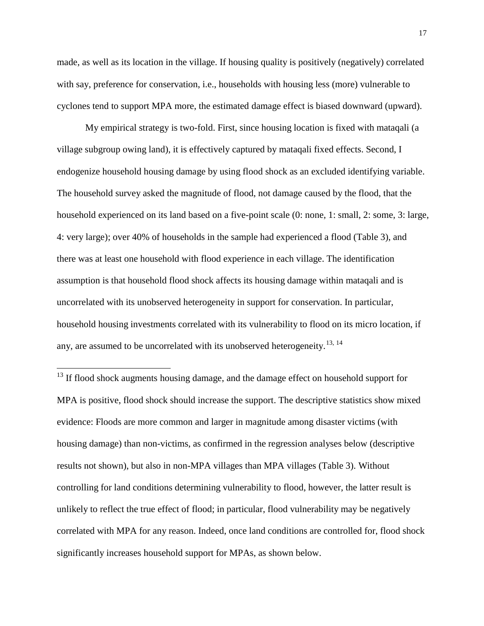made, as well as its location in the village. If housing quality is positively (negatively) correlated with say, preference for conservation, i.e., households with housing less (more) vulnerable to cyclones tend to support MPA more, the estimated damage effect is biased downward (upward).

My empirical strategy is two-fold. First, since housing location is fixed with mataqali (a village subgroup owing land), it is effectively captured by mataqali fixed effects. Second, I endogenize household housing damage by using flood shock as an excluded identifying variable. The household survey asked the magnitude of flood, not damage caused by the flood, that the household experienced on its land based on a five-point scale (0: none, 1: small, 2: some, 3: large, 4: very large); over 40% of households in the sample had experienced a flood (Table 3), and there was at least one household with flood experience in each village. The identification assumption is that household flood shock affects its housing damage within mataqali and is uncorrelated with its unobserved heterogeneity in support for conservation. In particular, household housing investments correlated with its vulnerability to flood on its micro location, if any, are assumed to be uncorrelated with its unobserved heterogeneity.<sup>[13,](#page-15-0) [14](#page-17-0)</sup>

<span id="page-17-1"></span><span id="page-17-0"></span><sup>&</sup>lt;sup>13</sup> If flood shock augments housing damage, and the damage effect on household support for MPA is positive, flood shock should increase the support. The descriptive statistics show mixed evidence: Floods are more common and larger in magnitude among disaster victims (with housing damage) than non-victims, as confirmed in the regression analyses below (descriptive results not shown), but also in non-MPA villages than MPA villages (Table 3). Without controlling for land conditions determining vulnerability to flood, however, the latter result is unlikely to reflect the true effect of flood; in particular, flood vulnerability may be negatively correlated with MPA for any reason. Indeed, once land conditions are controlled for, flood shock significantly increases household support for MPAs, as shown below.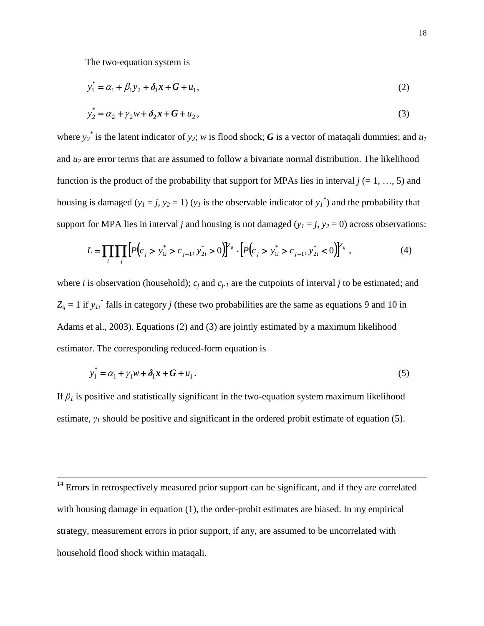The two-equation system is

$$
y_1^* = \alpha_1 + \beta_1 y_2 + \delta_1 x + G + u_1,
$$
\n(2)

$$
y_2^* = \alpha_2 + \gamma_2 w + \delta_2 x + G + u_2,
$$
\n(3)

where  $y_2^*$  is the latent indicator of  $y_2$ ; *w* is flood shock; *G* is a vector of mataqali dummies; and  $u_1$ and *u2* are error terms that are assumed to follow a bivariate normal distribution. The likelihood function is the product of the probability that support for MPAs lies in interval  $j$  (= 1, …, 5) and housing is damaged  $(y_1 = j, y_2 = 1)$   $(y_1$  is the observable indicator of  $y_1^*$  and the probability that support for MPA lies in interval *j* and housing is not damaged  $(y_1 = j, y_2 = 0)$  across observations:

$$
L = \prod_{i} \prod_{j} \left[ P(c_j > y_{1i}^* > c_{j-1}, y_{2i}^* > 0) \right] \mathbb{Z}_{ij} \cdot \left[ P(c_j > y_{1i}^* > c_{j-1}, y_{2i}^* < 0) \right] \mathbb{Z}_{ij} \tag{4}
$$

where *i* is observation (household);  $c_i$  and  $c_{i-1}$  are the cutpoints of interval *j* to be estimated; and  $Z_{ij} = 1$  if  $y_{li}$ <sup>\*</sup> falls in category *j* (these two probabilities are the same as equations 9 and 10 in [Adams et al., 2003\)](#page-25-6). Equations (2) and (3) are jointly estimated by a maximum likelihood estimator. The corresponding reduced-form equation is

$$
y_1^* = \alpha_1 + \gamma_1 w + \delta_1 x + G + u_1.
$$
 (5)

If  $\beta$ <sup>*I*</sup> is positive and statistically significant in the two-equation system maximum likelihood estimate, *γ<sup>1</sup>* should be positive and significant in the ordered probit estimate of equation (5).

 $14$  Errors in retrospectively measured prior support can be significant, and if they are correlated with housing damage in equation (1), the order-probit estimates are biased. In my empirical strategy, measurement errors in prior support, if any, are assumed to be uncorrelated with household flood shock within mataqali.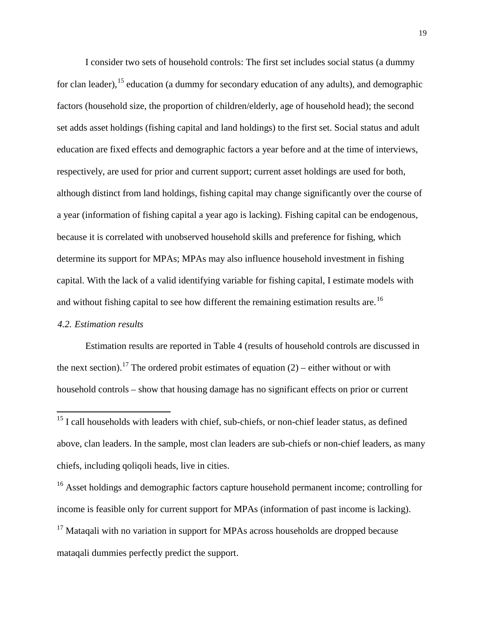I consider two sets of household controls: The first set includes social status (a dummy for clan leader), <sup>[15](#page-17-1)</sup> education (a dummy for secondary education of any adults), and demographic factors (household size, the proportion of children/elderly, age of household head); the second set adds asset holdings (fishing capital and land holdings) to the first set. Social status and adult education are fixed effects and demographic factors a year before and at the time of interviews, respectively, are used for prior and current support; current asset holdings are used for both, although distinct from land holdings, fishing capital may change significantly over the course of a year (information of fishing capital a year ago is lacking). Fishing capital can be endogenous, because it is correlated with unobserved household skills and preference for fishing, which determine its support for MPAs; MPAs may also influence household investment in fishing capital. With the lack of a valid identifying variable for fishing capital, I estimate models with and without fishing capital to see how different the remaining estimation results are.<sup>[16](#page-19-0)</sup>

#### *4.2. Estimation results*

Estimation results are reported in Table 4 (results of household controls are discussed in the next section).<sup>[17](#page-19-1)</sup> The ordered probit estimates of equation  $(2)$  – either without or with household controls – show that housing damage has no significant effects on prior or current

<span id="page-19-1"></span><span id="page-19-0"></span><sup>16</sup> Asset holdings and demographic factors capture household permanent income; controlling for income is feasible only for current support for MPAs (information of past income is lacking).  $17$  Mataqali with no variation in support for MPAs across households are dropped because mataqali dummies perfectly predict the support.

<sup>&</sup>lt;sup>15</sup> I call households with leaders with chief, sub-chiefs, or non-chief leader status, as defined above, clan leaders. In the sample, most clan leaders are sub-chiefs or non-chief leaders, as many chiefs, including qoliqoli heads, live in cities.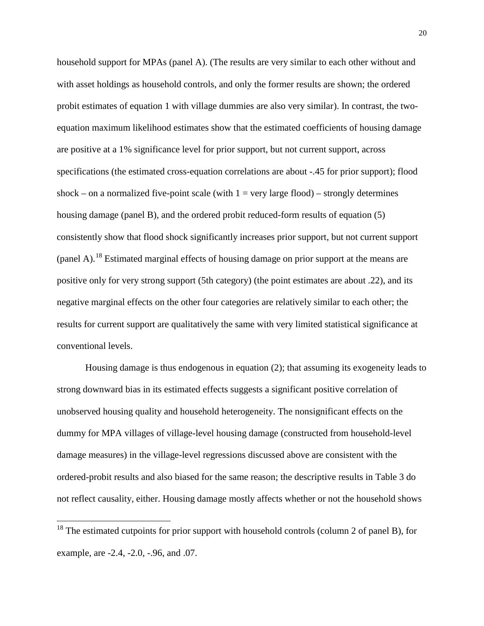household support for MPAs (panel A). (The results are very similar to each other without and with asset holdings as household controls, and only the former results are shown; the ordered probit estimates of equation 1 with village dummies are also very similar). In contrast, the twoequation maximum likelihood estimates show that the estimated coefficients of housing damage are positive at a 1% significance level for prior support, but not current support, across specifications (the estimated cross-equation correlations are about -.45 for prior support); flood shock – on a normalized five-point scale (with  $1 = \text{very large flood}) - \text{strongly determines}$ ) housing damage (panel B), and the ordered probit reduced-form results of equation (5) consistently show that flood shock significantly increases prior support, but not current support (panel A).<sup>[18](#page-19-1)</sup> Estimated marginal effects of housing damage on prior support at the means are positive only for very strong support (5th category) (the point estimates are about .22), and its negative marginal effects on the other four categories are relatively similar to each other; the results for current support are qualitatively the same with very limited statistical significance at conventional levels.

Housing damage is thus endogenous in equation (2); that assuming its exogeneity leads to strong downward bias in its estimated effects suggests a significant positive correlation of unobserved housing quality and household heterogeneity. The nonsignificant effects on the dummy for MPA villages of village-level housing damage (constructed from household-level damage measures) in the village-level regressions discussed above are consistent with the ordered-probit results and also biased for the same reason; the descriptive results in Table 3 do not reflect causality, either. Housing damage mostly affects whether or not the household shows

<span id="page-20-0"></span> $18$  The estimated cutpoints for prior support with household controls (column 2 of panel B), for example, are -2.4, -2.0, -.96, and .07.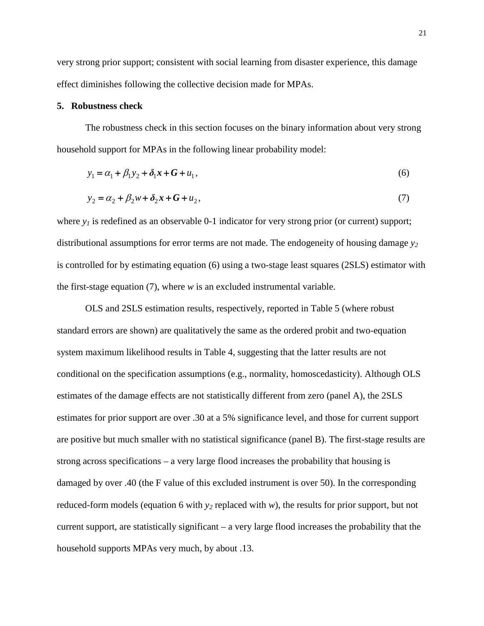very strong prior support; consistent with social learning from disaster experience, this damage effect diminishes following the collective decision made for MPAs.

#### **5. Robustness check**

The robustness check in this section focuses on the binary information about very strong household support for MPAs in the following linear probability model:

$$
y_1 = \alpha_1 + \beta_1 y_2 + \delta_1 x + G + u_1,
$$
\n(6)

$$
y_2 = \alpha_2 + \beta_2 w + \delta_2 x + G + u_2, \tag{7}
$$

where  $y_1$  is redefined as an observable 0-1 indicator for very strong prior (or current) support; distributional assumptions for error terms are not made. The endogeneity of housing damage  $y_2$ is controlled for by estimating equation (6) using a two-stage least squares (2SLS) estimator with the first-stage equation (7), where *w* is an excluded instrumental variable.

OLS and 2SLS estimation results, respectively, reported in Table 5 (where robust standard errors are shown) are qualitatively the same as the ordered probit and two-equation system maximum likelihood results in Table 4, suggesting that the latter results are not conditional on the specification assumptions (e.g., normality, homoscedasticity). Although OLS estimates of the damage effects are not statistically different from zero (panel A), the 2SLS estimates for prior support are over .30 at a 5% significance level, and those for current support are positive but much smaller with no statistical significance (panel B). The first-stage results are strong across specifications – a very large flood increases the probability that housing is damaged by over .40 (the F value of this excluded instrument is over 50). In the corresponding reduced-form models (equation 6 with  $y_2$  replaced with *w*), the results for prior support, but not current support, are statistically significant – a very large flood increases the probability that the household supports MPAs very much, by about .13.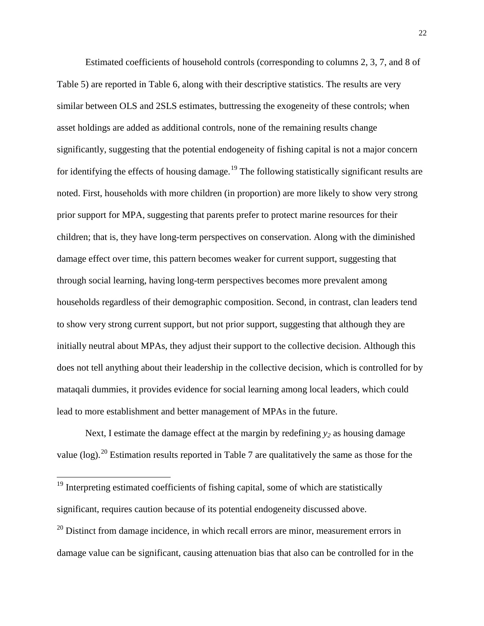Estimated coefficients of household controls (corresponding to columns 2, 3, 7, and 8 of Table 5) are reported in Table 6, along with their descriptive statistics. The results are very similar between OLS and 2SLS estimates, buttressing the exogeneity of these controls; when asset holdings are added as additional controls, none of the remaining results change significantly, suggesting that the potential endogeneity of fishing capital is not a major concern for identifying the effects of housing damage.<sup>[19](#page-20-0)</sup> The following statistically significant results are noted. First, households with more children (in proportion) are more likely to show very strong prior support for MPA, suggesting that parents prefer to protect marine resources for their children; that is, they have long-term perspectives on conservation. Along with the diminished damage effect over time, this pattern becomes weaker for current support, suggesting that through social learning, having long-term perspectives becomes more prevalent among households regardless of their demographic composition. Second, in contrast, clan leaders tend to show very strong current support, but not prior support, suggesting that although they are initially neutral about MPAs, they adjust their support to the collective decision. Although this does not tell anything about their leadership in the collective decision, which is controlled for by mataqali dummies, it provides evidence for social learning among local leaders, which could lead to more establishment and better management of MPAs in the future.

Next, I estimate the damage effect at the margin by redefining  $y_2$  as housing damage value  $(log)$ <sup>[20](#page-22-0)</sup> Estimation results reported in Table 7 are qualitatively the same as those for the

 $19$  Interpreting estimated coefficients of fishing capital, some of which are statistically significant, requires caution because of its potential endogeneity discussed above.

<span id="page-22-0"></span> $20$  Distinct from damage incidence, in which recall errors are minor, measurement errors in damage value can be significant, causing attenuation bias that also can be controlled for in the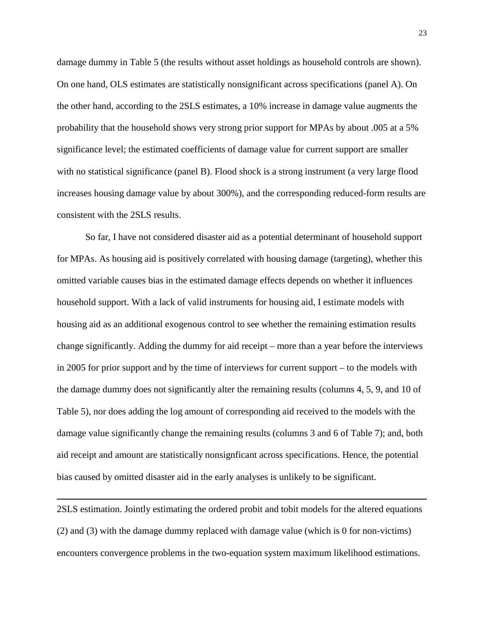damage dummy in Table 5 (the results without asset holdings as household controls are shown). On one hand, OLS estimates are statistically nonsignificant across specifications (panel A). On the other hand, according to the 2SLS estimates, a 10% increase in damage value augments the probability that the household shows very strong prior support for MPAs by about .005 at a 5% significance level; the estimated coefficients of damage value for current support are smaller with no statistical significance (panel B). Flood shock is a strong instrument (a very large flood increases housing damage value by about 300%), and the corresponding reduced-form results are consistent with the 2SLS results.

So far, I have not considered disaster aid as a potential determinant of household support for MPAs. As housing aid is positively correlated with housing damage (targeting), whether this omitted variable causes bias in the estimated damage effects depends on whether it influences household support. With a lack of valid instruments for housing aid, I estimate models with housing aid as an additional exogenous control to see whether the remaining estimation results change significantly. Adding the dummy for aid receipt – more than a year before the interviews in 2005 for prior support and by the time of interviews for current support – to the models with the damage dummy does not significantly alter the remaining results (columns 4, 5, 9, and 10 of Table 5), nor does adding the log amount of corresponding aid received to the models with the damage value significantly change the remaining results (columns 3 and 6 of Table 7); and, both aid receipt and amount are statistically nonsignficant across specifications. Hence, the potential bias caused by omitted disaster aid in the early analyses is unlikely to be significant.

2SLS estimation. Jointly estimating the ordered probit and tobit models for the altered equations (2) and (3) with the damage dummy replaced with damage value (which is 0 for non-victims) encounters convergence problems in the two-equation system maximum likelihood estimations.

 $\overline{a}$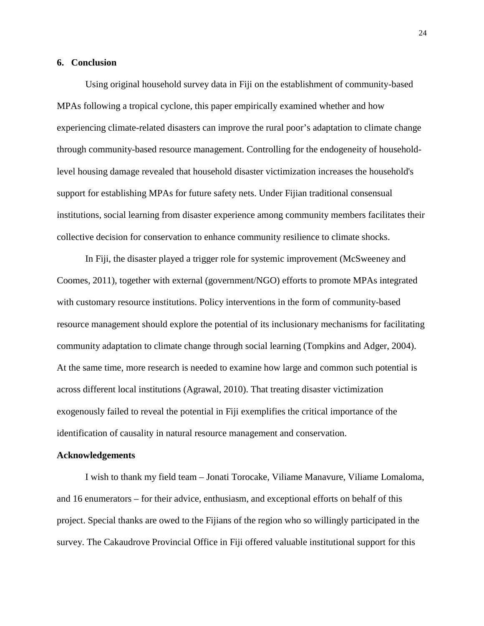#### **6. Conclusion**

Using original household survey data in Fiji on the establishment of community-based MPAs following a tropical cyclone, this paper empirically examined whether and how experiencing climate-related disasters can improve the rural poor's adaptation to climate change through community-based resource management. Controlling for the endogeneity of householdlevel housing damage revealed that household disaster victimization increases the household's support for establishing MPAs for future safety nets. Under Fijian traditional consensual institutions, social learning from disaster experience among community members facilitates their collective decision for conservation to enhance community resilience to climate shocks.

In Fiji, the disaster played a trigger role for systemic improvement [\(McSweeney and](#page-28-1)  [Coomes, 2011\)](#page-28-1), together with external (government/NGO) efforts to promote MPAs integrated with customary resource institutions. Policy interventions in the form of community-based resource management should explore the potential of its inclusionary mechanisms for facilitating community adaptation to climate change through social learning [\(Tompkins and Adger, 2004\)](#page-30-2). At the same time, more research is needed to examine how large and common such potential is across different local institutions [\(Agrawal, 2010\)](#page-25-1). That treating disaster victimization exogenously failed to reveal the potential in Fiji exemplifies the critical importance of the identification of causality in natural resource management and conservation.

#### **Acknowledgements**

I wish to thank my field team – Jonati Torocake, Viliame Manavure, Viliame Lomaloma, and 16 enumerators – for their advice, enthusiasm, and exceptional efforts on behalf of this project. Special thanks are owed to the Fijians of the region who so willingly participated in the survey. The Cakaudrove Provincial Office in Fiji offered valuable institutional support for this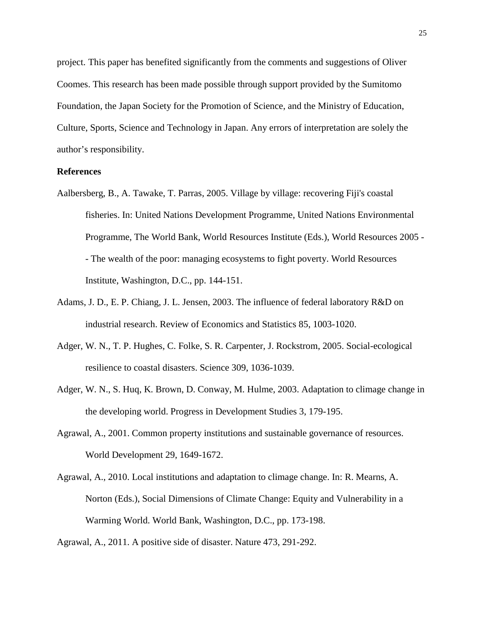project. This paper has benefited significantly from the comments and suggestions of Oliver Coomes. This research has been made possible through support provided by the Sumitomo Foundation, the Japan Society for the Promotion of Science, and the Ministry of Education, Culture, Sports, Science and Technology in Japan. Any errors of interpretation are solely the author's responsibility.

## **References**

- <span id="page-25-4"></span>Aalbersberg, B., A. Tawake, T. Parras, 2005. Village by village: recovering Fiji's coastal fisheries. In: United Nations Development Programme, United Nations Environmental Programme, The World Bank, World Resources Institute (Eds.), World Resources 2005 - - The wealth of the poor: managing ecosystems to fight poverty. World Resources Institute, Washington, D.C., pp. 144-151.
- <span id="page-25-6"></span>Adams, J. D., E. P. Chiang, J. L. Jensen, 2003. The influence of federal laboratory R&D on industrial research. Review of Economics and Statistics 85, 1003-1020.
- <span id="page-25-3"></span>Adger, W. N., T. P. Hughes, C. Folke, S. R. Carpenter, J. Rockstrom, 2005. Social-ecological resilience to coastal disasters. Science 309, 1036-1039.
- <span id="page-25-0"></span>Adger, W. N., S. Huq, K. Brown, D. Conway, M. Hulme, 2003. Adaptation to climage change in the developing world. Progress in Development Studies 3, 179-195.
- <span id="page-25-5"></span>Agrawal, A., 2001. Common property institutions and sustainable governance of resources. World Development 29, 1649-1672.
- <span id="page-25-1"></span>Agrawal, A., 2010. Local institutions and adaptation to climage change. In: R. Mearns, A. Norton (Eds.), Social Dimensions of Climate Change: Equity and Vulnerability in a Warming World. World Bank, Washington, D.C., pp. 173-198.

<span id="page-25-2"></span>Agrawal, A., 2011. A positive side of disaster. Nature 473, 291-292.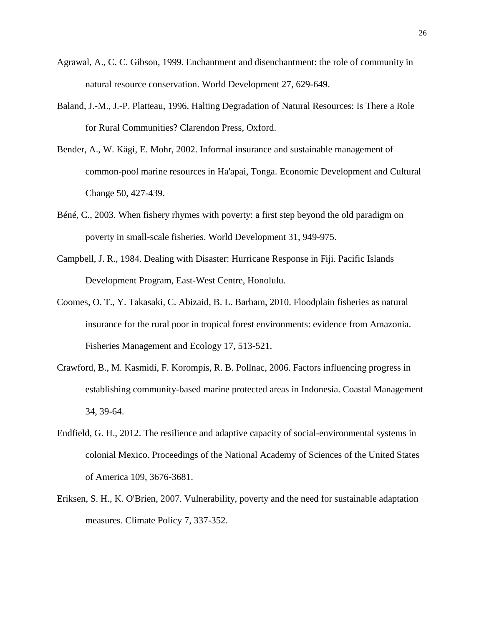- <span id="page-26-6"></span>Agrawal, A., C. C. Gibson, 1999. Enchantment and disenchantment: the role of community in natural resource conservation. World Development 27, 629-649.
- <span id="page-26-3"></span>Baland, J.-M., J.-P. Platteau, 1996. Halting Degradation of Natural Resources: Is There a Role for Rural Communities? Clarendon Press, Oxford.
- <span id="page-26-8"></span>Bender, A., W. Kägi, E. Mohr, 2002. Informal insurance and sustainable management of common-pool marine resources in Ha'apai, Tonga. Economic Development and Cultural Change 50, 427-439.
- <span id="page-26-4"></span>Béné, C., 2003. When fishery rhymes with poverty: a first step beyond the old paradigm on poverty in small-scale fisheries. World Development 31, 949-975.
- <span id="page-26-2"></span>Campbell, J. R., 1984. Dealing with Disaster: Hurricane Response in Fiji. Pacific Islands Development Program, East-West Centre, Honolulu.
- <span id="page-26-7"></span>Coomes, O. T., Y. Takasaki, C. Abizaid, B. L. Barham, 2010. Floodplain fisheries as natural insurance for the rural poor in tropical forest environments: evidence from Amazonia. Fisheries Management and Ecology 17, 513-521.
- <span id="page-26-5"></span>Crawford, B., M. Kasmidi, F. Korompis, R. B. Pollnac, 2006. Factors influencing progress in establishing community-based marine protected areas in Indonesia. Coastal Management 34, 39-64.
- <span id="page-26-1"></span>Endfield, G. H., 2012. The resilience and adaptive capacity of social-environmental systems in colonial Mexico. Proceedings of the National Academy of Sciences of the United States of America 109, 3676-3681.
- <span id="page-26-0"></span>Eriksen, S. H., K. O'Brien, 2007. Vulnerability, poverty and the need for sustainable adaptation measures. Climate Policy 7, 337-352.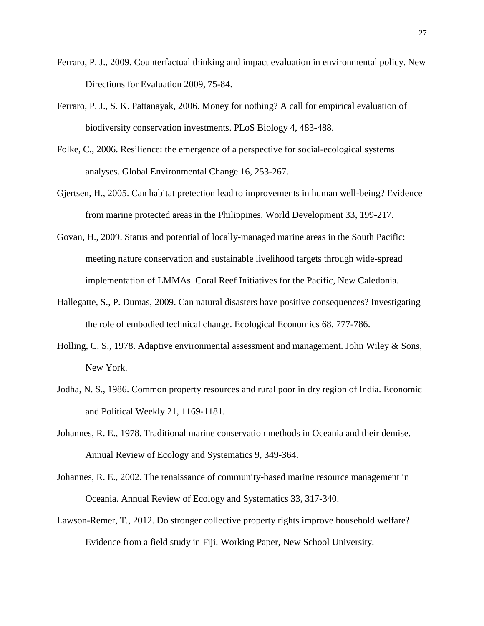- <span id="page-27-7"></span>Ferraro, P. J., 2009. Counterfactual thinking and impact evaluation in environmental policy. New Directions for Evaluation 2009, 75-84.
- <span id="page-27-6"></span>Ferraro, P. J., S. K. Pattanayak, 2006. Money for nothing? A call for empirical evaluation of biodiversity conservation investments. PLoS Biology 4, 483-488.
- <span id="page-27-0"></span>Folke, C., 2006. Resilience: the emergence of a perspective for social-ecological systems analyses. Global Environmental Change 16, 253-267.
- <span id="page-27-5"></span>Gjertsen, H., 2005. Can habitat pretection lead to improvements in human well-being? Evidence from marine protected areas in the Philippines. World Development 33, 199-217.
- <span id="page-27-4"></span>Govan, H., 2009. Status and potential of locally-managed marine areas in the South Pacific: meeting nature conservation and sustainable livelihood targets through wide-spread implementation of LMMAs. Coral Reef Initiatives for the Pacific, New Caledonia.
- <span id="page-27-1"></span>Hallegatte, S., P. Dumas, 2009. Can natural disasters have positive consequences? Investigating the role of embodied technical change. Ecological Economics 68, 777-786.
- <span id="page-27-9"></span>Holling, C. S., 1978. Adaptive environmental assessment and management. John Wiley & Sons, New York.
- <span id="page-27-8"></span>Jodha, N. S., 1986. Common property resources and rural poor in dry region of India. Economic and Political Weekly 21, 1169-1181.
- <span id="page-27-2"></span>Johannes, R. E., 1978. Traditional marine conservation methods in Oceania and their demise. Annual Review of Ecology and Systematics 9, 349-364.
- <span id="page-27-3"></span>Johannes, R. E., 2002. The renaissance of community-based marine resource management in Oceania. Annual Review of Ecology and Systematics 33, 317-340.
- <span id="page-27-10"></span>Lawson-Remer, T., 2012. Do stronger collective property rights improve household welfare? Evidence from a field study in Fiji. Working Paper, New School University.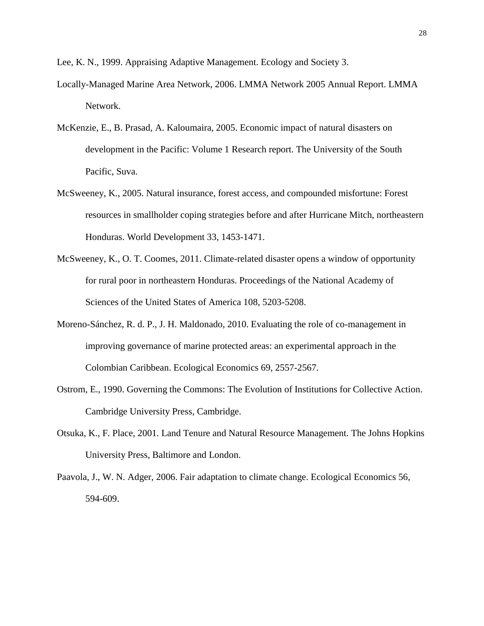<span id="page-28-5"></span>Lee, K. N., 1999. Appraising Adaptive Management. Ecology and Society 3.

- <span id="page-28-6"></span>Locally-Managed Marine Area Network, 2006. LMMA Network 2005 Annual Report. LMMA Network.
- <span id="page-28-8"></span>McKenzie, E., B. Prasad, A. Kaloumaira, 2005. Economic impact of natural disasters on development in the Pacific: Volume 1 Research report. The University of the South Pacific, Suva.
- <span id="page-28-4"></span>McSweeney, K., 2005. Natural insurance, forest access, and compounded misfortune: Forest resources in smallholder coping strategies before and after Hurricane Mitch, northeastern Honduras. World Development 33, 1453-1471.
- <span id="page-28-1"></span>McSweeney, K., O. T. Coomes, 2011. Climate-related disaster opens a window of opportunity for rural poor in northeastern Honduras. Proceedings of the National Academy of Sciences of the United States of America 108, 5203-5208.
- <span id="page-28-7"></span>Moreno-Sánchez, R. d. P., J. H. Maldonado, 2010. Evaluating the role of co-management in improving governance of marine protected areas: an experimental approach in the Colombian Caribbean. Ecological Economics 69, 2557-2567.
- <span id="page-28-3"></span>Ostrom, E., 1990. Governing the Commons: The Evolution of Institutions for Collective Action. Cambridge University Press, Cambridge.
- <span id="page-28-2"></span>Otsuka, K., F. Place, 2001. Land Tenure and Natural Resource Management. The Johns Hopkins University Press, Baltimore and London.
- <span id="page-28-0"></span>Paavola, J., W. N. Adger, 2006. Fair adaptation to climate change. Ecological Economics 56, 594-609.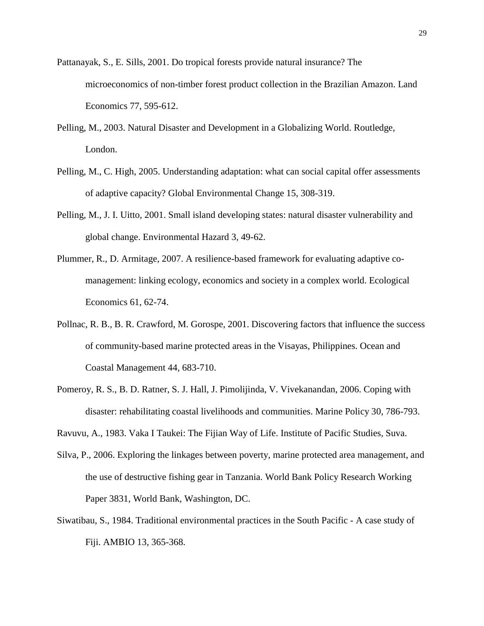- <span id="page-29-6"></span>Pattanayak, S., E. Sills, 2001. Do tropical forests provide natural insurance? The microeconomics of non-timber forest product collection in the Brazilian Amazon. Land Economics 77, 595-612.
- <span id="page-29-0"></span>Pelling, M., 2003. Natural Disaster and Development in a Globalizing World. Routledge, London.
- <span id="page-29-1"></span>Pelling, M., C. High, 2005. Understanding adaptation: what can social capital offer assessments of adaptive capacity? Global Environmental Change 15, 308-319.
- <span id="page-29-3"></span>Pelling, M., J. I. Uitto, 2001. Small island developing states: natural disaster vulnerability and global change. Environmental Hazard 3, 49-62.
- <span id="page-29-7"></span>Plummer, R., D. Armitage, 2007. A resilience-based framework for evaluating adaptive comanagement: linking ecology, economics and society in a complex world. Ecological Economics 61, 62-74.
- <span id="page-29-4"></span>Pollnac, R. B., B. R. Crawford, M. Gorospe, 2001. Discovering factors that influence the success of community-based marine protected areas in the Visayas, Philippines. Ocean and Coastal Management 44, 683-710.
- <span id="page-29-2"></span>Pomeroy, R. S., B. D. Ratner, S. J. Hall, J. Pimolijinda, V. Vivekanandan, 2006. Coping with disaster: rehabilitating coastal livelihoods and communities. Marine Policy 30, 786-793.

<span id="page-29-8"></span>Ravuvu, A., 1983. Vaka I Taukei: The Fijian Way of Life. Institute of Pacific Studies, Suva.

- <span id="page-29-5"></span>Silva, P., 2006. Exploring the linkages between poverty, marine protected area management, and the use of destructive fishing gear in Tanzania. World Bank Policy Research Working Paper 3831, World Bank, Washington, DC.
- <span id="page-29-9"></span>Siwatibau, S., 1984. Traditional environmental practices in the South Pacific - A case study of Fiji. AMBIO 13, 365-368.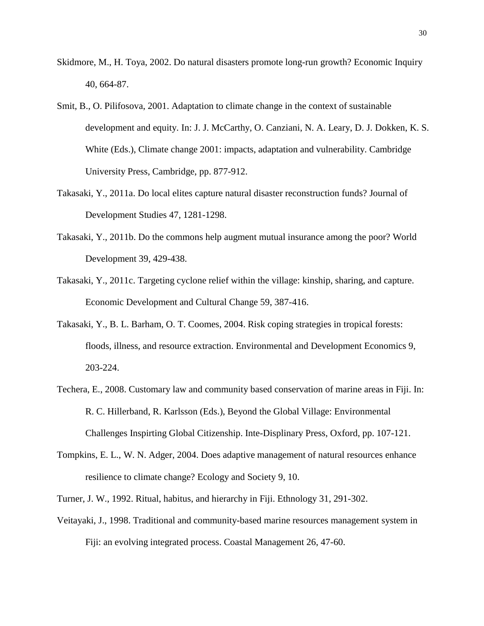- <span id="page-30-1"></span>Skidmore, M., H. Toya, 2002. Do natural disasters promote long-run growth? Economic Inquiry 40, 664-87.
- <span id="page-30-0"></span>Smit, B., O. Pilifosova, 2001. Adaptation to climate change in the context of sustainable development and equity. In: J. J. McCarthy, O. Canziani, N. A. Leary, D. J. Dokken, K. S. White (Eds.), Climate change 2001: impacts, adaptation and vulnerability. Cambridge University Press, Cambridge, pp. 877-912.
- <span id="page-30-9"></span>Takasaki, Y., 2011a. Do local elites capture natural disaster reconstruction funds? Journal of Development Studies 47, 1281-1298.
- <span id="page-30-5"></span>Takasaki, Y., 2011b. Do the commons help augment mutual insurance among the poor? World Development 39, 429-438.
- <span id="page-30-8"></span>Takasaki, Y., 2011c. Targeting cyclone relief within the village: kinship, sharing, and capture. Economic Development and Cultural Change 59, 387-416.
- <span id="page-30-6"></span>Takasaki, Y., B. L. Barham, O. T. Coomes, 2004. Risk coping strategies in tropical forests: floods, illness, and resource extraction. Environmental and Development Economics 9, 203-224.
- <span id="page-30-3"></span>Techera, E., 2008. Customary law and community based conservation of marine areas in Fiji. In: R. C. Hillerband, R. Karlsson (Eds.), Beyond the Global Village: Environmental Challenges Inspirting Global Citizenship. Inte-Displinary Press, Oxford, pp. 107-121.
- <span id="page-30-2"></span>Tompkins, E. L., W. N. Adger, 2004. Does adaptive management of natural resources enhance resilience to climate change? Ecology and Society 9, 10.
- <span id="page-30-7"></span>Turner, J. W., 1992. Ritual, habitus, and hierarchy in Fiji. Ethnology 31, 291-302.
- <span id="page-30-4"></span>Veitayaki, J., 1998. Traditional and community-based marine resources management system in Fiji: an evolving integrated process. Coastal Management 26, 47-60.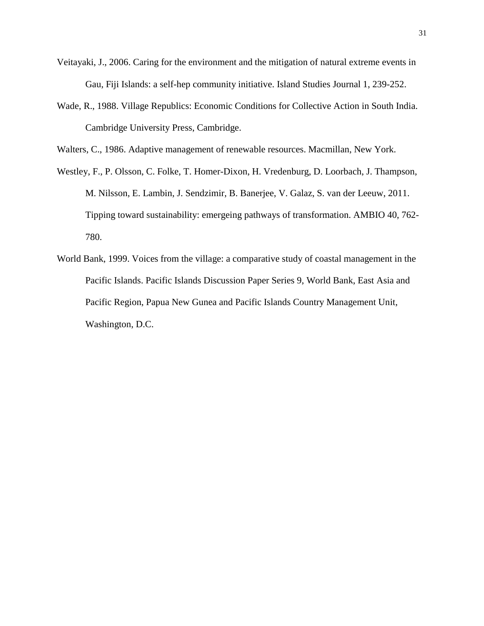- <span id="page-31-1"></span>Veitayaki, J., 2006. Caring for the environment and the mitigation of natural extreme events in Gau, Fiji Islands: a self-hep community initiative. Island Studies Journal 1, 239-252.
- <span id="page-31-2"></span>Wade, R., 1988. Village Republics: Economic Conditions for Collective Action in South India. Cambridge University Press, Cambridge.

<span id="page-31-4"></span>Walters, C., 1986. Adaptive management of renewable resources. Macmillan, New York.

- <span id="page-31-0"></span>Westley, F., P. Olsson, C. Folke, T. Homer-Dixon, H. Vredenburg, D. Loorbach, J. Thampson, M. Nilsson, E. Lambin, J. Sendzimir, B. Banerjee, V. Galaz, S. van der Leeuw, 2011. Tipping toward sustainability: emergeing pathways of transformation. AMBIO 40, 762- 780.
- <span id="page-31-3"></span>World Bank, 1999. Voices from the village: a comparative study of coastal management in the Pacific Islands. Pacific Islands Discussion Paper Series 9, World Bank, East Asia and Pacific Region, Papua New Gunea and Pacific Islands Country Management Unit, Washington, D.C.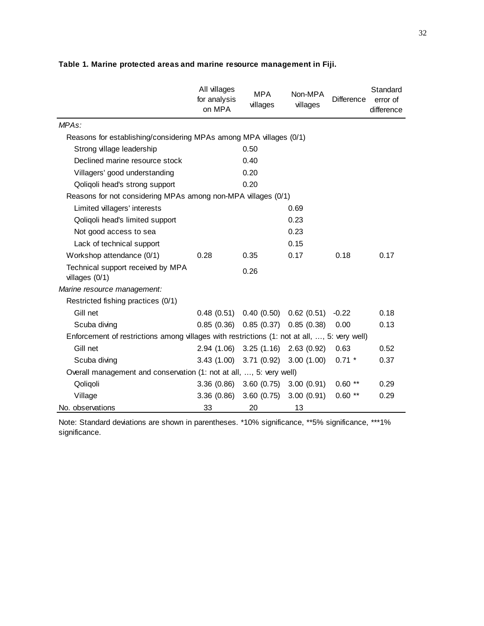|                                                                                              | All villages<br>for analysis<br>on MPA | <b>MPA</b><br>villages    | Non-MPA<br>villages | <b>Difference</b> | Standard<br>error of<br>difference |
|----------------------------------------------------------------------------------------------|----------------------------------------|---------------------------|---------------------|-------------------|------------------------------------|
| MPA <sub>s</sub> :                                                                           |                                        |                           |                     |                   |                                    |
| Reasons for establishing/considering MPAs among MPA villages (0/1)                           |                                        |                           |                     |                   |                                    |
| Strong village leadership                                                                    |                                        | 0.50                      |                     |                   |                                    |
| Declined marine resource stock                                                               |                                        | 0.40                      |                     |                   |                                    |
| Villagers' good understanding                                                                |                                        | 0.20                      |                     |                   |                                    |
| Qoliqoli head's strong support                                                               |                                        | 0.20                      |                     |                   |                                    |
| Reasons for not considering MPAs among non-MPA villages (0/1)                                |                                        |                           |                     |                   |                                    |
| Limited villagers' interests                                                                 |                                        |                           | 0.69                |                   |                                    |
| Qoliqoli head's limited support                                                              |                                        |                           | 0.23                |                   |                                    |
| Not good access to sea                                                                       |                                        |                           | 0.23                |                   |                                    |
| Lack of technical support                                                                    |                                        |                           | 0.15                |                   |                                    |
| Workshop attendance (0/1)                                                                    | 0.28                                   | 0.35                      | 0.17                | 0.18              | 0.17                               |
| Technical support received by MPA<br>villages $(0/1)$                                        |                                        | 0.26                      |                     |                   |                                    |
| Marine resource management:                                                                  |                                        |                           |                     |                   |                                    |
| Restricted fishing practices (0/1)                                                           |                                        |                           |                     |                   |                                    |
| Gill net                                                                                     | 0.48(0.51)                             | 0.40(0.50)                | 0.62(0.51)          | $-0.22$           | 0.18                               |
| Scuba diving                                                                                 | 0.85(0.36)                             | $0.85(0.37)$ $0.85(0.38)$ |                     | 0.00              | 0.13                               |
| Enforcement of restrictions among villages with restrictions (1: not at all, , 5: very well) |                                        |                           |                     |                   |                                    |
| Gill net                                                                                     | 2.94 (1.06)                            | 3.25(1.16)                | 2.63(0.92)          | 0.63              | 0.52                               |
| Scuba diving                                                                                 |                                        | 3.43 (1.00) 3.71 (0.92)   | 3.00(1.00)          | $0.71$ *          | 0.37                               |
| Overall management and conservation (1: not at all, , 5: very well)                          |                                        |                           |                     |                   |                                    |
| Qoliqoli                                                                                     | 3.36(0.86)                             | 3.60(0.75)                | 3.00(0.91)          | $0.60**$          | 0.29                               |
| Village                                                                                      | 3.36(0.86)                             | 3.60(0.75)                | 3.00(0.91)          | $0.60**$          | 0.29                               |
| No. observations                                                                             | 33                                     | 20                        | 13                  |                   |                                    |

# **Table 1. Marine protected areas and marine resource management in Fiji.**

Note: Standard deviations are shown in parentheses. \*10% significance, \*\*5% significance, \*\*\*1% significance.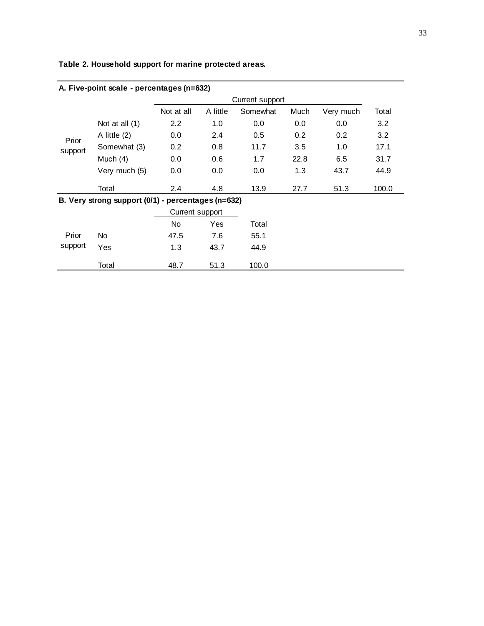| A. Five-point scale - percentages (n=632) |                                                    |                 |                 |          |      |                  |       |  |  |  |  |  |
|-------------------------------------------|----------------------------------------------------|-----------------|-----------------|----------|------|------------------|-------|--|--|--|--|--|
|                                           |                                                    |                 | Current support |          |      |                  |       |  |  |  |  |  |
|                                           |                                                    | Not at all      | A little        | Somewhat | Much | Very much        | Total |  |  |  |  |  |
|                                           | Not at all $(1)$                                   | $2.2^{\circ}$   | 1.0             | 0.0      | 0.0  | 0.0              | 3.2   |  |  |  |  |  |
| Prior                                     | A little $(2)$                                     | 0.0             | 2.4             | 0.5      | 0.2  | 0.2 <sub>0</sub> | 3.2   |  |  |  |  |  |
| support                                   | Somewhat (3)                                       | 0.2             | 0.8             | 11.7     | 3.5  | 1.0              | 17.1  |  |  |  |  |  |
|                                           | Much $(4)$                                         | 0.0             | 0.6             | 1.7      | 22.8 | 6.5              | 31.7  |  |  |  |  |  |
|                                           | Very much (5)                                      | 0.0             | 0.0             | 0.0      | 1.3  | 43.7             | 44.9  |  |  |  |  |  |
|                                           | Total                                              | 2.4             | 4.8             | 13.9     | 27.7 | 51.3             | 100.0 |  |  |  |  |  |
|                                           | B. Very strong support (0/1) - percentages (n=632) |                 |                 |          |      |                  |       |  |  |  |  |  |
|                                           |                                                    | Current support |                 |          |      |                  |       |  |  |  |  |  |
|                                           |                                                    | No.             | <b>Yes</b>      | Total    |      |                  |       |  |  |  |  |  |
| Prior                                     | No.                                                | 47.5            | 7.6             | 55.1     |      |                  |       |  |  |  |  |  |
| support                                   | Yes                                                | 1.3             | 43.7            | 44.9     |      |                  |       |  |  |  |  |  |
|                                           | Total                                              | 48.7            | 51.3            | 100.0    |      |                  |       |  |  |  |  |  |

# **Table 2. Household support for marine protected areas.**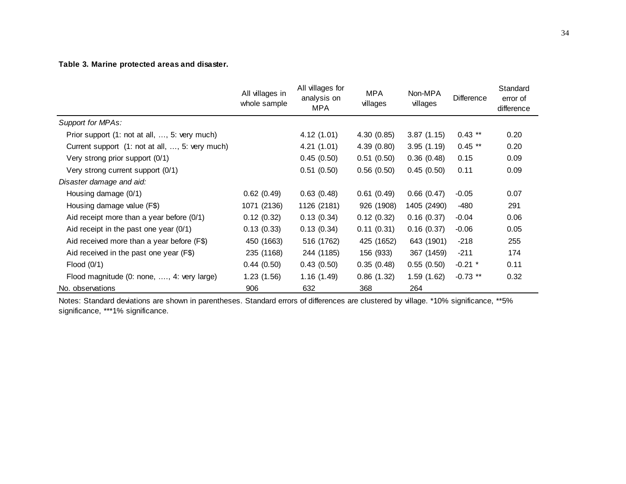## **Table 3. Marine protected areas and disaster.**

|                                                 | All villages in<br>whole sample | All villages for<br>analysis on<br><b>MPA</b> | <b>MPA</b><br>villages | Non-MPA<br>villages | Difference | Standard<br>error of<br>difference |
|-------------------------------------------------|---------------------------------|-----------------------------------------------|------------------------|---------------------|------------|------------------------------------|
| Support for MPAs:                               |                                 |                                               |                        |                     |            |                                    |
| Prior support (1: not at all, , 5: very much)   |                                 | 4.12(1.01)                                    | 4.30(0.85)             | 3.87(1.15)          | $0.43$ **  | 0.20                               |
| Current support (1: not at all, , 5: very much) |                                 | 4.21(1.01)                                    | 4.39(0.80)             | 3.95(1.19)          | $0.45$ **  | 0.20                               |
| Very strong prior support (0/1)                 |                                 | 0.45(0.50)                                    | 0.51(0.50)             | 0.36(0.48)          | 0.15       | 0.09                               |
| Very strong current support (0/1)               |                                 | 0.51(0.50)                                    | 0.56(0.50)             | 0.45(0.50)          | 0.11       | 0.09                               |
| Disaster damage and aid:                        |                                 |                                               |                        |                     |            |                                    |
| Housing damage (0/1)                            | 0.62(0.49)                      | 0.63(0.48)                                    | 0.61(0.49)             | 0.66(0.47)          | $-0.05$    | 0.07                               |
| Housing damage value (F\$)                      | 1071 (2136)                     | 1126 (2181)                                   | 926 (1908)             | 1405 (2490)         | -480       | 291                                |
| Aid receipt more than a year before $(0/1)$     | 0.12(0.32)                      | 0.13(0.34)                                    | 0.12(0.32)             | 0.16(0.37)          | $-0.04$    | 0.06                               |
| Aid receipt in the past one year $(0/1)$        | 0.13(0.33)                      | 0.13(0.34)                                    | 0.11(0.31)             | 0.16(0.37)          | $-0.06$    | 0.05                               |
| Aid received more than a year before (F\$)      | 450 (1663)                      | 516 (1762)                                    | 425 (1652)             | 643 (1901)          | $-218$     | 255                                |
| Aid received in the past one year (F\$)         | 235 (1168)                      | 244 (1185)                                    | 156 (933)              | 367 (1459)          | $-211$     | 174                                |
| Flood $(0/1)$                                   | 0.44(0.50)                      | 0.43(0.50)                                    | 0.35(0.48)             | 0.55(0.50)          | $-0.21$ *  | 0.11                               |
| Flood magnitude (0: none, , 4: very large)      | 1.23(1.56)                      | 1.16(1.49)                                    | 0.86(1.32)             | 1.59(1.62)          | $-0.73$ ** | 0.32                               |
| No. observations                                | 906                             | 632                                           | 368                    | 264                 |            |                                    |

Notes: Standard deviations are shown in parentheses. Standard errors of differences are clustered by village. \*10% significance, \*\*5% significance, \*\*\*1% significance.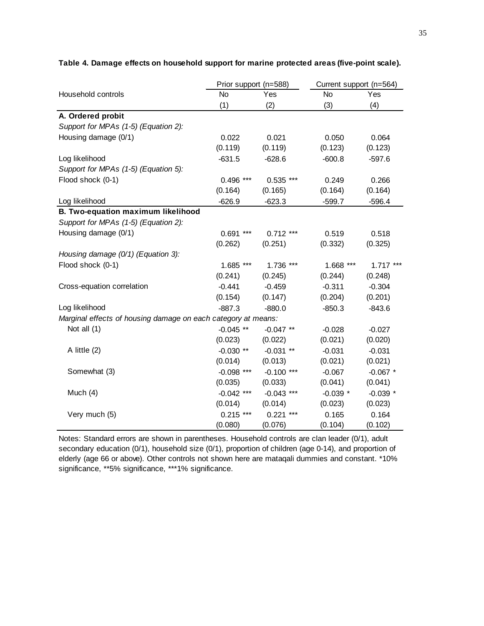|                                                               | Prior support (n=588) |                | Current support (n=564) |            |
|---------------------------------------------------------------|-----------------------|----------------|-------------------------|------------|
| Household controls                                            | No                    | Yes            | No                      | Yes        |
|                                                               | (1)                   | (2)            | (3)                     | (4)        |
| A. Ordered probit                                             |                       |                |                         |            |
| Support for MPAs (1-5) (Equation 2):                          |                       |                |                         |            |
| Housing damage (0/1)                                          | 0.022                 | 0.021          | 0.050                   | 0.064      |
|                                                               | (0.119)               | (0.119)        | (0.123)                 | (0.123)    |
| Log likelihood                                                | $-631.5$              | $-628.6$       | $-600.8$                | $-597.6$   |
| Support for MPAs (1-5) (Equation 5):                          |                       |                |                         |            |
| Flood shock (0-1)                                             | $0.496$ ***           | $0.535$ ***    | 0.249                   | 0.266      |
|                                                               | (0.164)               | (0.165)        | (0.164)                 | (0.164)    |
| Log likelihood                                                | $-626.9$              | $-623.3$       | $-599.7$                | $-596.4$   |
| B. Two-equation maximum likelihood                            |                       |                |                         |            |
| Support for MPAs (1-5) (Equation 2):                          |                       |                |                         |            |
| Housing damage (0/1)                                          | $***$<br>0.691        | $0.712$ ***    | 0.519                   | 0.518      |
|                                                               | (0.262)               | (0.251)        | (0.332)                 | (0.325)    |
| Housing damage (0/1) (Equation 3):                            |                       |                |                         |            |
| Flood shock (0-1)                                             | 1.685 ***             | 1.736 ***      | $1.668$ ***             | $1.717***$ |
|                                                               | (0.241)               | (0.245)        | (0.244)                 | (0.248)    |
| Cross-equation correlation                                    | $-0.441$              | $-0.459$       | $-0.311$                | $-0.304$   |
|                                                               | (0.154)               | (0.147)        | (0.204)                 | (0.201)    |
| Log likelihood                                                | $-887.3$              | $-880.0$       | $-850.3$                | $-843.6$   |
| Marginal effects of housing damage on each category at means: |                       |                |                         |            |
| Not all (1)                                                   | $-0.045$ **           | $-0.047$ **    | $-0.028$                | $-0.027$   |
|                                                               | (0.023)               | (0.022)        | (0.021)                 | (0.020)    |
| A little (2)                                                  | $-0.030**$            | $-0.031$ **    | $-0.031$                | $-0.031$   |
|                                                               | (0.014)               | (0.013)        | (0.021)                 | (0.021)    |
| Somewhat (3)                                                  | $-0.098$ ***          | $-0.100$ ***   | $-0.067$                | $-0.067$ * |
|                                                               | (0.035)               | (0.033)        | (0.041)                 | (0.041)    |
| Much $(4)$                                                    | $-0.042$ ***          | $-0.043$ ***   | $-0.039$ *              | $-0.039$ * |
|                                                               | (0.014)               | (0.014)        | (0.023)                 | (0.023)    |
| Very much (5)                                                 | $0.215$ ***           | 0.221<br>$***$ | 0.165                   | 0.164      |
|                                                               | (0.080)               | (0.076)        | (0.104)                 | (0.102)    |

#### **Table 4. Damage effects on household support for marine protected areas (five-point scale).**

Notes: Standard errors are shown in parentheses. Household controls are clan leader (0/1), adult secondary education (0/1), household size (0/1), proportion of children (age 0-14), and proportion of elderly (age 66 or above). Other controls not shown here are mataqali dummies and constant. \*10% significance, \*\*5% significance, \*\*\*1% significance.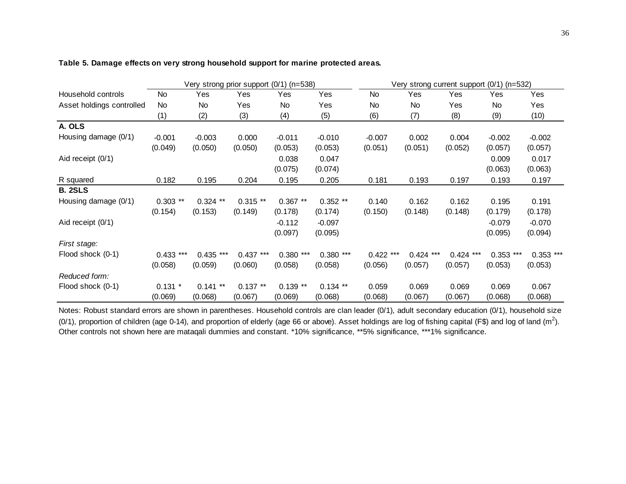|                           | Very strong prior support (0/1) (n=538) |             |            |             |            | Very strong current support (0/1) (n=532) |             |             |             |             |
|---------------------------|-----------------------------------------|-------------|------------|-------------|------------|-------------------------------------------|-------------|-------------|-------------|-------------|
| Household controls        | No                                      | Yes         | Yes        | Yes         | Yes        | <b>No</b>                                 | Yes         | Yes         | Yes         | Yes         |
| Asset holdings controlled | No                                      | No.         | Yes        | <b>No</b>   | Yes        | No                                        | No          | Yes         | <b>No</b>   | Yes         |
|                           | (1)                                     | (2)         | (3)        | (4)         | (5)        | (6)                                       | (7)         | (8)         | (9)         | (10)        |
| A. OLS                    |                                         |             |            |             |            |                                           |             |             |             |             |
| Housing damage (0/1)      | $-0.001$                                | $-0.003$    | 0.000      | $-0.011$    | $-0.010$   | $-0.007$                                  | 0.002       | 0.004       | $-0.002$    | $-0.002$    |
|                           | (0.049)                                 | (0.050)     | (0.050)    | (0.053)     | (0.053)    | (0.051)                                   | (0.051)     | (0.052)     | (0.057)     | (0.057)     |
| Aid receipt (0/1)         |                                         |             |            | 0.038       | 0.047      |                                           |             |             | 0.009       | 0.017       |
|                           |                                         |             |            | (0.075)     | (0.074)    |                                           |             |             | (0.063)     | (0.063)     |
| R squared                 | 0.182                                   | 0.195       | 0.204      | 0.195       | 0.205      | 0.181                                     | 0.193       | 0.197       | 0.193       | 0.197       |
| <b>B. 2SLS</b>            |                                         |             |            |             |            |                                           |             |             |             |             |
| Housing damage (0/1)      | $0.303$ **                              | $0.324$ **  | $0.315**$  | $0.367**$   | $0.352**$  | 0.140                                     | 0.162       | 0.162       | 0.195       | 0.191       |
|                           | (0.154)                                 | (0.153)     | (0.149)    | (0.178)     | (0.174)    | (0.150)                                   | (0.148)     | (0.148)     | (0.179)     | (0.178)     |
| Aid receipt (0/1)         |                                         |             |            | $-0.112$    | $-0.097$   |                                           |             |             | $-0.079$    | $-0.070$    |
|                           |                                         |             |            | (0.097)     | (0.095)    |                                           |             |             | (0.095)     | (0.094)     |
| First stage:              |                                         |             |            |             |            |                                           |             |             |             |             |
| Flood shock (0-1)         | $0.433$ ***                             | $0.435$ *** | $0.437***$ | $0.380$ *** | $0.380***$ | $0.422$ ***                               | $0.424$ *** | $0.424$ *** | $0.353$ *** | $0.353$ *** |
|                           | (0.058)                                 | (0.059)     | (0.060)    | (0.058)     | (0.058)    | (0.056)                                   | (0.057)     | (0.057)     | (0.053)     | (0.053)     |
| Reduced form:             |                                         |             |            |             |            |                                           |             |             |             |             |
| Flood shock (0-1)         | $0.131$ *                               | $0.141$ **  | $0.137**$  | $0.139**$   | $0.134$ ** | 0.059                                     | 0.069       | 0.069       | 0.069       | 0.067       |
|                           | (0.069)                                 | (0.068)     | (0.067)    | (0.069)     | (0.068)    | (0.068)                                   | (0.067)     | (0.067)     | (0.068)     | (0.068)     |

#### **Table 5. Damage effects on very strong household support for marine protected areas.**

Notes: Robust standard errors are shown in parentheses. Household controls are clan leader (0/1), adult secondary education (0/1), household size (0/1), proportion of children (age 0-14), and proportion of elderly (age 66 or above). Asset holdings are log of fishing capital (F\$) and log of land (m<sup>2</sup>). Other controls not shown here are mataqali dummies and constant. \*10% significance, \*\*5% significance, \*\*\*1% significance.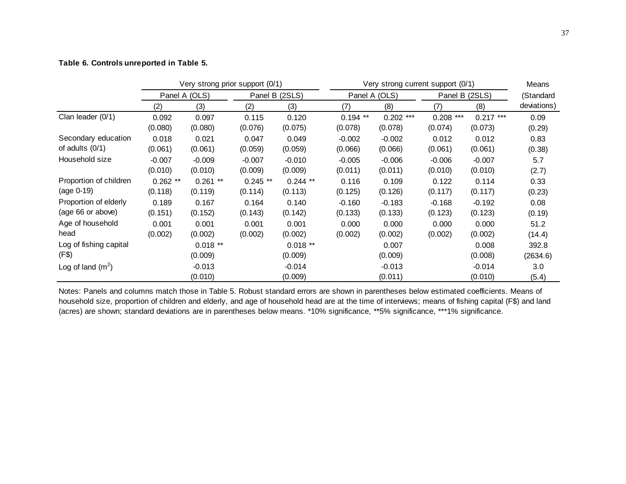#### **Table 6. Controls unreported in Table 5.**

|                        | Very strong prior support (0/1) |            |            |                                 |            | Very strong current support (0/1) |                |            |             |  |
|------------------------|---------------------------------|------------|------------|---------------------------------|------------|-----------------------------------|----------------|------------|-------------|--|
|                        | Panel A (OLS)                   |            |            | Panel B (2SLS)<br>Panel A (OLS) |            |                                   | Panel B (2SLS) |            | (Standard   |  |
|                        | (2)                             | (3)        | (2)        | (3)                             | (7)        | (8)                               | (7)            | (8)        | deviations) |  |
| Clan leader (0/1)      | 0.092                           | 0.097      | 0.115      | 0.120                           | $0.194$ ** | $0.202$ ***                       | $0.208$ ***    | $0.217***$ | 0.09        |  |
|                        | (0.080)                         | (0.080)    | (0.076)    | (0.075)                         | (0.078)    | (0.078)                           | (0.074)        | (0.073)    | (0.29)      |  |
| Secondary education    | 0.018                           | 0.021      | 0.047      | 0.049                           | $-0.002$   | $-0.002$                          | 0.012          | 0.012      | 0.83        |  |
| of adults $(0/1)$      | (0.061)                         | (0.061)    | (0.059)    | (0.059)                         | (0.066)    | (0.066)                           | (0.061)        | (0.061)    | (0.38)      |  |
| Household size         | $-0.007$                        | $-0.009$   | $-0.007$   | $-0.010$                        | $-0.005$   | $-0.006$                          | $-0.006$       | $-0.007$   | 5.7         |  |
|                        | (0.010)                         | (0.010)    | (0.009)    | (0.009)                         | (0.011)    | (0.011)                           | (0.010)        | (0.010)    | (2.7)       |  |
| Proportion of children | $0.262$ **                      | $0.261$ ** | $0.245$ ** | $0.244$ **                      | 0.116      | 0.109                             | 0.122          | 0.114      | 0.33        |  |
| $(age 0-19)$           | (0.118)                         | (0.119)    | (0.114)    | (0.113)                         | (0.125)    | (0.126)                           | (0.117)        | (0.117)    | (0.23)      |  |
| Proportion of elderly  | 0.189                           | 0.167      | 0.164      | 0.140                           | $-0.160$   | $-0.183$                          | $-0.168$       | $-0.192$   | 0.08        |  |
| (age 66 or above)      | (0.151)                         | (0.152)    | (0.143)    | (0.142)                         | (0.133)    | (0.133)                           | (0.123)        | (0.123)    | (0.19)      |  |
| Age of household       | 0.001                           | 0.001      | 0.001      | 0.001                           | 0.000      | 0.000                             | 0.000          | 0.000      | 51.2        |  |
| head                   | (0.002)                         | (0.002)    | (0.002)    | (0.002)                         | (0.002)    | (0.002)                           | (0.002)        | (0.002)    | (14.4)      |  |
| Log of fishing capital |                                 | $0.018**$  |            | $0.018**$                       |            | 0.007                             |                | 0.008      | 392.8       |  |
| (F\$)                  |                                 | (0.009)    |            | (0.009)                         |            | (0.009)                           |                | (0.008)    | (2634.6)    |  |
| Log of land $(m^2)$    |                                 | $-0.013$   |            | $-0.014$                        |            | $-0.013$                          |                | $-0.014$   | 3.0         |  |
|                        |                                 | (0.010)    |            | (0.009)                         |            | (0.011)                           |                | (0.010)    | (5.4)       |  |

Notes: Panels and columns match those in Table 5. Robust standard errors are shown in parentheses below estimated coefficients. Means of household size, proportion of children and elderly, and age of household head are at the time of interviews; means of fishing capital (F\$) and land (acres) are shown; standard deviations are in parentheses below means. \*10% significance, \*\*5% significance, \*\*\*1% significance.